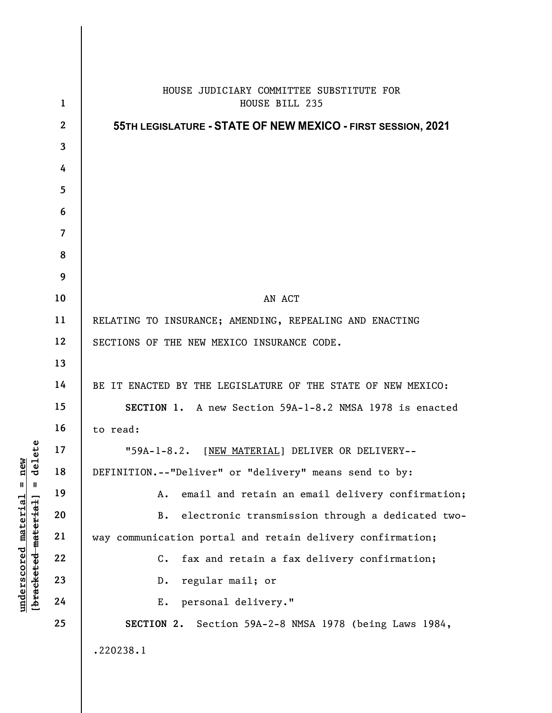|                                            | $\mathbf{1}$   | HOUSE JUDICIARY COMMITTEE SUBSTITUTE FOR<br>HOUSE BILL 235    |
|--------------------------------------------|----------------|---------------------------------------------------------------|
|                                            | $\mathbf{2}$   | 55TH LEGISLATURE - STATE OF NEW MEXICO - FIRST SESSION, 2021  |
|                                            | $\mathbf{3}$   |                                                               |
|                                            | 4              |                                                               |
|                                            | $\overline{5}$ |                                                               |
|                                            | 6              |                                                               |
|                                            | $\overline{7}$ |                                                               |
|                                            | 8              |                                                               |
|                                            | 9              |                                                               |
|                                            | 10             | AN ACT                                                        |
|                                            | 11             | RELATING TO INSURANCE; AMENDING, REPEALING AND ENACTING       |
|                                            | 12             | SECTIONS OF THE NEW MEXICO INSURANCE CODE.                    |
|                                            | 13             |                                                               |
|                                            | 14             | BE IT ENACTED BY THE LEGISLATURE OF THE STATE OF NEW MEXICO:  |
|                                            | 15             | SECTION 1. A new Section 59A-1-8.2 NMSA 1978 is enacted       |
|                                            | 16             | to read:                                                      |
|                                            | 17             | "59A-1-8.2. [NEW MATERIAL] DELIVER OR DELIVERY--              |
| new<br>delete                              | 18             | DEFINITION.--"Deliver" or "delivery" means send to by:        |
| $^{\mathsf{II}}$<br>Ш                      | 19             | email and retain an email delivery confirmation;<br>Α.        |
| <u>material</u>                            | 20             | electronic transmission through a dedicated two-<br><b>B.</b> |
|                                            | 21             | way communication portal and retain delivery confirmation;    |
| [bracketed-material]<br><u>underscored</u> | 22             | fax and retain a fax delivery confirmation;<br>$\mathbf{C}$ . |
|                                            | 23             | regular mail; or<br>$D$ .                                     |
|                                            | 24             | personal delivery."<br>Ε.                                     |
|                                            | 25             | SECTION 2.<br>Section 59A-2-8 NMSA 1978 (being Laws 1984,     |
|                                            |                |                                                               |
|                                            |                | .220238.1                                                     |
|                                            |                |                                                               |

 $\mathsf{I}$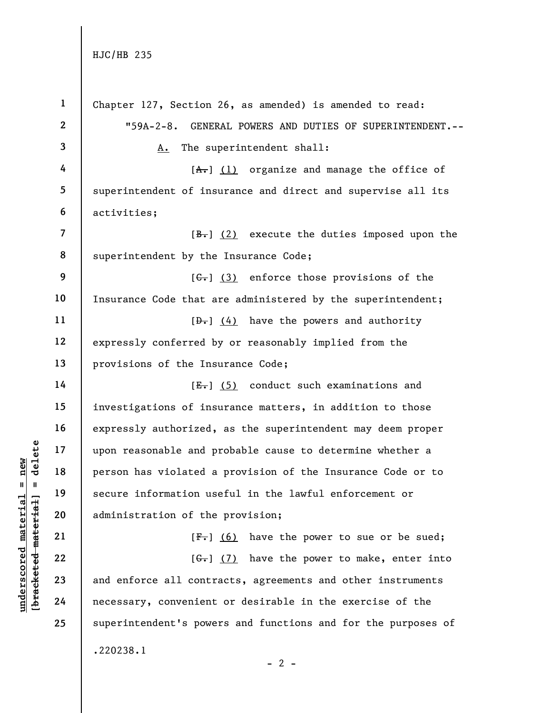|                                | $\mathbf{1}$   | Chapter 127, Section 26, as amended) is amended to read:      |
|--------------------------------|----------------|---------------------------------------------------------------|
|                                | $\mathbf{2}$   | "59A-2-8. GENERAL POWERS AND DUTIES OF SUPERINTENDENT.--      |
|                                | $\mathbf{3}$   | A. The superintendent shall:                                  |
|                                | 4              | $[A,-]$ (1) organize and manage the office of                 |
|                                | 5              | superintendent of insurance and direct and supervise all its  |
|                                | 6              | activities;                                                   |
|                                | $\overline{7}$ | $[\frac{B-}{B}]$ (2) execute the duties imposed upon the      |
|                                | 8              | superintendent by the Insurance Code;                         |
|                                | 9              | $[\theta_{\bullet}]$ (3) enforce those provisions of the      |
|                                | 10             | Insurance Code that are administered by the superintendent;   |
|                                | 11             | $[\theta_{\tau}]$ (4) have the powers and authority           |
|                                | 12             | expressly conferred by or reasonably implied from the         |
|                                | 13             | provisions of the Insurance Code;                             |
|                                | 14             | $[E-]$ (5) conduct such examinations and                      |
|                                | 15             | investigations of insurance matters, in addition to those     |
|                                | 16             | expressly authorized, as the superintendent may deem proper   |
| delete                         | 17             | upon reasonable and probable cause to determine whether a     |
| new<br>$\sf II$<br>- II        | 18             | person has violated a provision of the Insurance Code or to   |
|                                | 19             | secure information useful in the lawful enforcement or        |
| materia<br>[bracketed material | 20             | administration of the provision;                              |
|                                | 21             | $[F-]$ (6) have the power to sue or be sued;                  |
| underscored                    | 22             | $[\theta - \theta] (7) have the power to make, enter into$    |
|                                | 23             | and enforce all contracts, agreements and other instruments   |
|                                | 24             | necessary, convenient or desirable in the exercise of the     |
|                                | 25             | superintendent's powers and functions and for the purposes of |
|                                |                | .220238.1                                                     |

 $\overline{z}$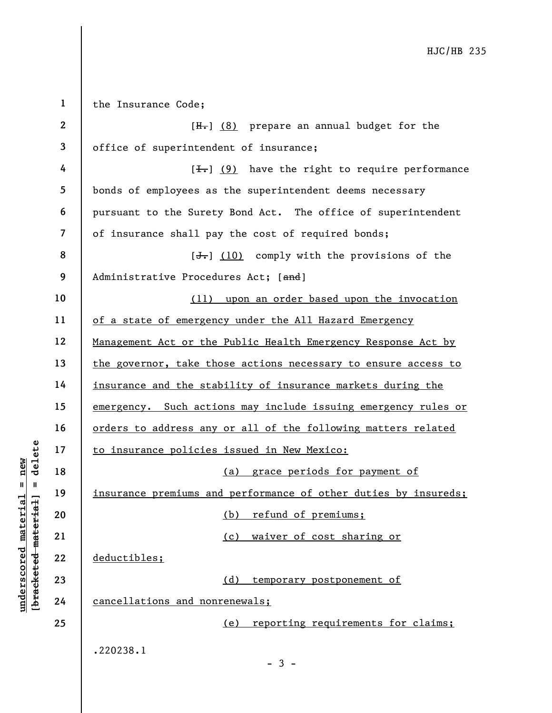underschied material material material entity of the set of the set of the set of the set of the set of the set of the set of the set of the set of the set of the set of the set of the set of the set of the set of the set 1 2 3 4 5 6 7 8 9 10 11 12 13 14 15 16 17 18 19 20 21 22 23 24 25 the Insurance Code;  $[H<sub>1</sub>]$  (8) prepare an annual budget for the office of superintendent of insurance;  $[\frac{1}{\sqrt{1}}]$  (9) have the right to require performance bonds of employees as the superintendent deems necessary pursuant to the Surety Bond Act. The office of superintendent of insurance shall pay the cost of required bonds;  $[\frac{1}{\sqrt{1}}]$  (10) comply with the provisions of the Administrative Procedures Act; [and] (11) upon an order based upon the invocation of a state of emergency under the All Hazard Emergency Management Act or the Public Health Emergency Response Act by the governor, take those actions necessary to ensure access to insurance and the stability of insurance markets during the emergency. Such actions may include issuing emergency rules or orders to address any or all of the following matters related to insurance policies issued in New Mexico: (a) grace periods for payment of insurance premiums and performance of other duties by insureds; (b) refund of premiums; (c) waiver of cost sharing or deductibles; (d) temporary postponement of cancellations and nonrenewals; (e) reporting requirements for claims; .220238.1  $-3 -$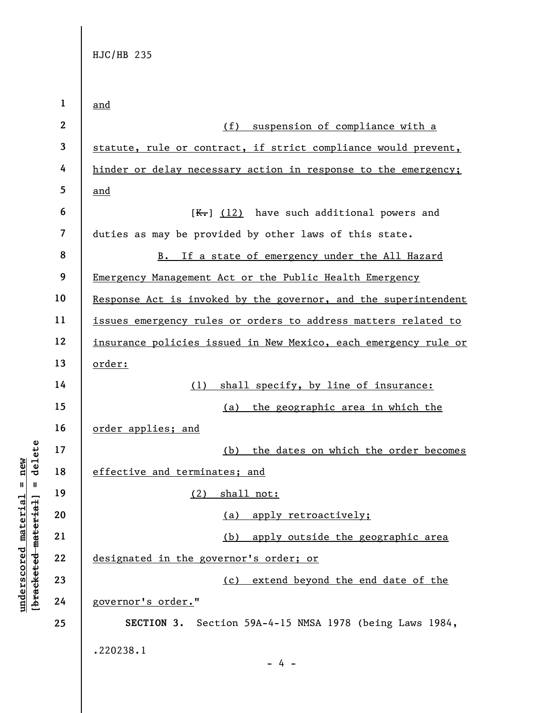|                                                           | $\mathbf{1}$             | and                                                             |
|-----------------------------------------------------------|--------------------------|-----------------------------------------------------------------|
|                                                           | $\mathbf{2}$             |                                                                 |
|                                                           |                          | (f)<br>suspension of compliance with a                          |
|                                                           | 3                        | statute, rule or contract, if strict compliance would prevent,  |
|                                                           | 4                        | hinder or delay necessary action in response to the emergency;  |
|                                                           | 5                        | and                                                             |
|                                                           | 6                        | $K-$ ] (12) have such additional powers and                     |
|                                                           | $\overline{\mathcal{L}}$ | duties as may be provided by other laws of this state.          |
|                                                           | 8                        | B. If a state of emergency under the All Hazard                 |
|                                                           | 9                        | Emergency Management Act or the Public Health Emergency         |
|                                                           | 10                       | Response Act is invoked by the governor, and the superintendent |
|                                                           | 11                       | issues emergency rules or orders to address matters related to  |
|                                                           | 12                       | insurance policies issued in New Mexico, each emergency rule or |
|                                                           | 13                       | order:                                                          |
|                                                           | 14                       | shall specify, by line of insurance:<br>(1)                     |
|                                                           | 15                       | (a) the geographic area in which the                            |
|                                                           | 16                       | order applies; and                                              |
| delete                                                    | 17                       | (b) the dates on which the order becomes                        |
| new                                                       | 18                       | effective and terminates; and                                   |
| $\mathbf{II}$<br>$\blacksquare$                           | 19                       | (2) shall not:                                                  |
|                                                           | 20                       | apply retroactively;<br>(a)                                     |
|                                                           | 21                       | (b) apply outside the geographic area                           |
| underscored material<br>[ <del>bracketed material</del> ] | 22                       | designated in the governor's order; or                          |
|                                                           | 23                       | extend beyond the end date of the<br>(c)                        |
|                                                           | 24                       | governor's order."                                              |
|                                                           | 25                       | SECTION 3. Section 59A-4-15 NMSA 1978 (being Laws 1984,         |
|                                                           |                          | .220238.1                                                       |
|                                                           |                          | $-4 -$                                                          |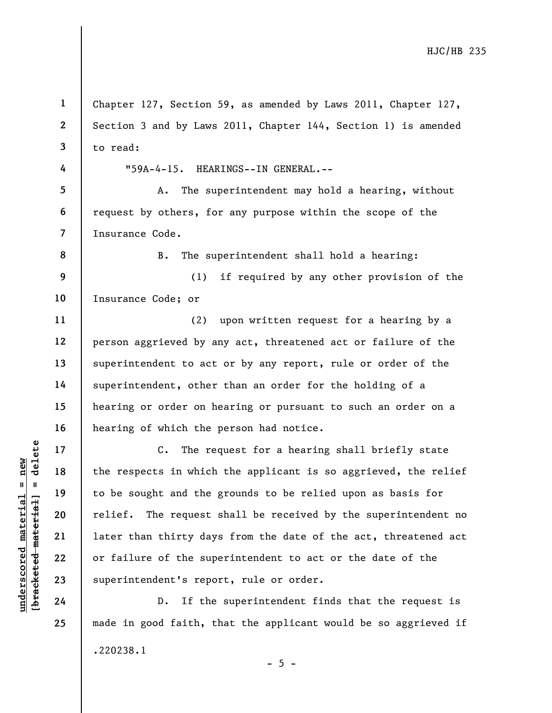Understand the respects in which<br>  $\begin{array}{c|c|c|c} \n\text{u} & \text{u} & \text{u} & \text{u} & \text{u} & \text{u} & \text{u} & \text{u} & \text{u} & \text{u} & \text{u} & \text{u} & \text{u} & \text{u} & \text{u} & \text{u} & \text{u} & \text{u} & \text{u} & \text{u} & \text{u} & \text{u} & \text{u} & \text{u} & \text{u} & \text{u} & \text{u} & \text{u} & \text{u$ 1 2 3 4 5 6 7 8 9 10 11 12 13 14 15 16 17 18 19 20 21 22 23 24 Chapter 127, Section 59, as amended by Laws 2011, Chapter 127, Section 3 and by Laws 2011, Chapter 144, Section 1) is amended to read: "59A-4-15. HEARINGS--IN GENERAL.-- A. The superintendent may hold a hearing, without request by others, for any purpose within the scope of the Insurance Code. B. The superintendent shall hold a hearing: (1) if required by any other provision of the Insurance Code; or (2) upon written request for a hearing by a person aggrieved by any act, threatened act or failure of the superintendent to act or by any report, rule or order of the superintendent, other than an order for the holding of a hearing or order on hearing or pursuant to such an order on a hearing of which the person had notice. C. The request for a hearing shall briefly state the respects in which the applicant is so aggrieved, the relief to be sought and the grounds to be relied upon as basis for relief. The request shall be received by the superintendent no later than thirty days from the date of the act, threatened act or failure of the superintendent to act or the date of the superintendent's report, rule or order.

D. If the superintendent finds that the request is made in good faith, that the applicant would be so aggrieved if .220238.1  $- 5 -$ 

25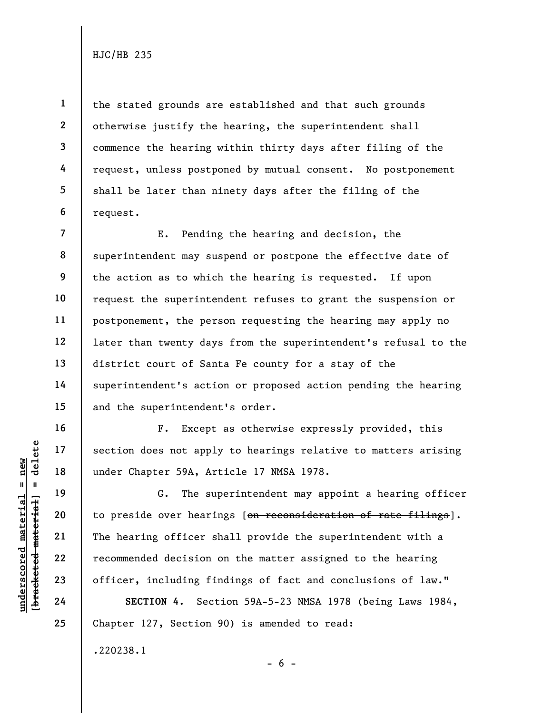1

2

3

4

5

6

16

17

18

19

20

21

22

23

24

25

the stated grounds are established and that such grounds otherwise justify the hearing, the superintendent shall commence the hearing within thirty days after filing of the request, unless postponed by mutual consent. No postponement shall be later than ninety days after the filing of the request.

7 8 9 10 11 12 13 14 15 E. Pending the hearing and decision, the superintendent may suspend or postpone the effective date of the action as to which the hearing is requested. If upon request the superintendent refuses to grant the suspension or postponement, the person requesting the hearing may apply no later than twenty days from the superintendent's refusal to the district court of Santa Fe county for a stay of the superintendent's action or proposed action pending the hearing and the superintendent's order.

F. Except as otherwise expressly provided, this section does not apply to hearings relative to matters arising under Chapter 59A, Article 17 NMSA 1978.

under Chapter 59A, Are sured material in the section of the sured material correction of the sured material correction of the sured material correction of the sured material correction of the sured material correction of t G. The superintendent may appoint a hearing officer to preside over hearings [on reconsideration of rate filings]. The hearing officer shall provide the superintendent with a recommended decision on the matter assigned to the hearing officer, including findings of fact and conclusions of law."

SECTION 4. Section 59A-5-23 NMSA 1978 (being Laws 1984, Chapter 127, Section 90) is amended to read:

 $- 6 -$ 

.220238.1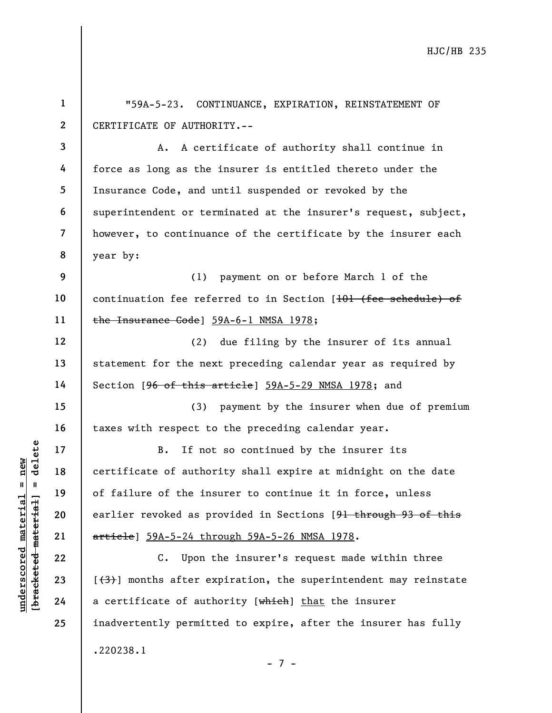|                                                           | $\mathbf{1}$   | "59A-5-23. CONTINUANCE, EXPIRATION, REINSTATEMENT OF                       |
|-----------------------------------------------------------|----------------|----------------------------------------------------------------------------|
|                                                           | $\mathbf{2}$   | CERTIFICATE OF AUTHORITY.--                                                |
|                                                           | $\mathbf{3}$   | A certificate of authority shall continue in<br>Α.                         |
|                                                           | 4              | force as long as the insurer is entitled thereto under the                 |
|                                                           | 5              | Insurance Code, and until suspended or revoked by the                      |
|                                                           | 6              | superintendent or terminated at the insurer's request, subject,            |
|                                                           | $\overline{7}$ | however, to continuance of the certificate by the insurer each             |
|                                                           | 8              | year by:                                                                   |
|                                                           | 9              | (1)<br>payment on or before March 1 of the                                 |
|                                                           | 10             | continuation fee referred to in Section [101 (fee schedule) of             |
|                                                           | 11             | the Insurance Code] 59A-6-1 NMSA 1978;                                     |
|                                                           | 12             | due filing by the insurer of its annual<br>(2)                             |
|                                                           | 13             | statement for the next preceding calendar year as required by              |
|                                                           | 14             | Section [96 of this article] 59A-5-29 NMSA 1978; and                       |
|                                                           | 15             | (3)<br>payment by the insurer when due of premium                          |
|                                                           | 16             | taxes with respect to the preceding calendar year.                         |
| delete                                                    | 17             | If not so continued by the insurer its<br>$B$ .                            |
| $n$ ew                                                    | 18             | certificate of authority shall expire at midnight on the date              |
| $\mathbf{II}$<br>- II                                     | 19             | of failure of the insurer to continue it in force, unless                  |
|                                                           | 20             | earlier revoked as provided in Sections [9 <del>1 through 93 of this</del> |
|                                                           | 21             | article] 59A-5-24 through 59A-5-26 NMSA 1978.                              |
| underscored material<br>[ <del>bracketed material</del> ] | 22             | Upon the insurer's request made within three<br>$\mathbf{c}$ .             |
|                                                           | 23             | $[+3+]$ months after expiration, the superintendent may reinstate          |
|                                                           | 24             | a certificate of authority [which] that the insurer                        |
|                                                           | 25             | inadvertently permitted to expire, after the insurer has fully             |
|                                                           |                | .220238.1                                                                  |
|                                                           |                | -7-                                                                        |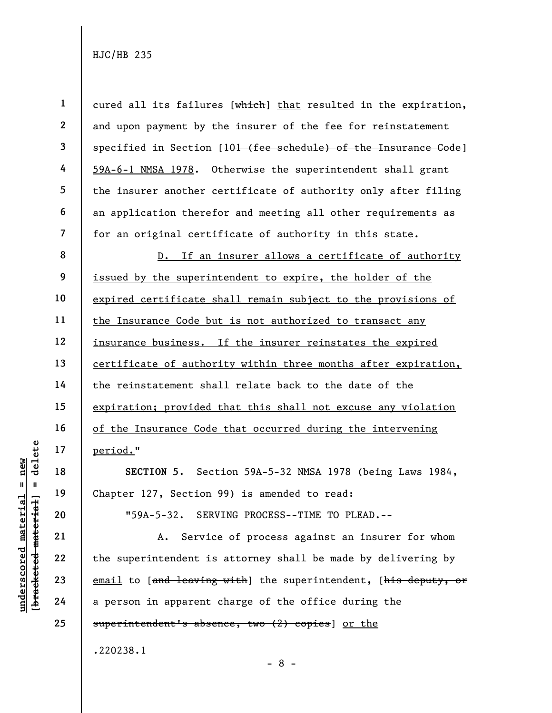|                 |                     | $\mathbf{1}$            | cured all its failures [which] that resulted in the expiration, |
|-----------------|---------------------|-------------------------|-----------------------------------------------------------------|
|                 |                     | $\mathbf{2}$            | and upon payment by the insurer of the fee for reinstatement    |
|                 |                     | 3                       | specified in Section [101 (fee schedule) of the Insurance Code] |
|                 |                     | 4                       | 59A-6-1 NMSA 1978. Otherwise the superintendent shall grant     |
|                 |                     | 5                       | the insurer another certificate of authority only after filing  |
|                 |                     | 6                       | an application therefor and meeting all other requirements as   |
|                 |                     | $\overline{\mathbf{7}}$ | for an original certificate of authority in this state.         |
|                 |                     | 8                       | D. If an insurer allows a certificate of authority              |
|                 |                     | 9                       | issued by the superintendent to expire, the holder of the       |
|                 |                     | 10                      | expired certificate shall remain subject to the provisions of   |
|                 |                     | 11                      | the Insurance Code but is not authorized to transact any        |
|                 |                     | 12                      | insurance business. If the insurer reinstates the expired       |
|                 |                     | 13                      | certificate of authority within three months after expiration,  |
|                 |                     | 14                      | the reinstatement shall relate back to the date of the          |
|                 |                     | 15                      | expiration; provided that this shall not excuse any violation   |
|                 |                     | 16                      | of the Insurance Code that occurred during the intervening      |
|                 | delete              | 17                      | period."                                                        |
| new             |                     | 18                      | SECTION 5. Section 59A-5-32 NMSA 1978 (being Laws 1984,         |
| $\mathsf{II}^-$ | - 11                | 19                      | Chapter 127, Section 99) is amended to read:                    |
| materia         |                     | 20                      | "59A-5-32. SERVING PROCESS--TIME TO PLEAD.--                    |
|                 | [bracketed material | 21                      | Service of process against an insurer for whom<br>Α.            |
| underscored     |                     | 22                      | the superintendent is attorney shall be made by delivering by   |
|                 |                     | 23                      | email to [and leaving with] the superintendent, [his deputy, or |
|                 |                     | 24                      | a person in apparent charge of the office during the            |
|                 |                     | 25                      | superintendent's absence, two (2) copies] or the                |
|                 |                     |                         |                                                                 |

.220238.1

- 8 -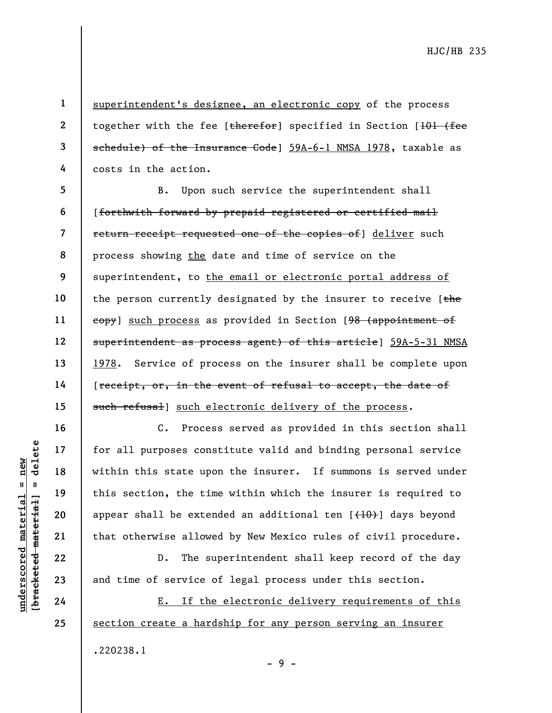1 2 3 4 superintendent's designee, an electronic copy of the process together with the fee [therefor] specified in Section [101 (fee schedule) of the Insurance Code] 59A-6-1 NMSA 1978, taxable as costs in the action.

5 6 7 8 9 10 11 12 13 14 15 B. Upon such service the superintendent shall [forthwith forward by prepaid registered or certified mail return receipt requested one of the copies of a deliver such process showing the date and time of service on the superintendent, to the email or electronic portal address of the person currently designated by the insurer to receive  $[the$ eopy] such process as provided in Section [98 (appointment of superintendent as process agent) of this article] 59A-5-31 NMSA 1978. Service of process on the insurer shall be complete upon [receipt, or, in the event of refusal to accept, the date of such refusal] such electronic delivery of the process.

under 17<br>
under 18<br>
under 19<br>
under 19<br>
under 19<br>
under 19<br>
20<br>
under this section, the time<br>
oppear shall be extend<br>
that otherwise allowe<br>
D. The support of service c<br>
24<br>
<u>E. If the</u> C. Process served as provided in this section shall for all purposes constitute valid and binding personal service within this state upon the insurer. If summons is served under this section, the time within which the insurer is required to appear shall be extended an additional ten  $[{+10}$ ) days beyond that otherwise allowed by New Mexico rules of civil procedure.

D. The superintendent shall keep record of the day and time of service of legal process under this section.

E. If the electronic delivery requirements of this section create a hardship for any person serving an insurer .220238.1

25

16

17

18

19

20

21

22

23

24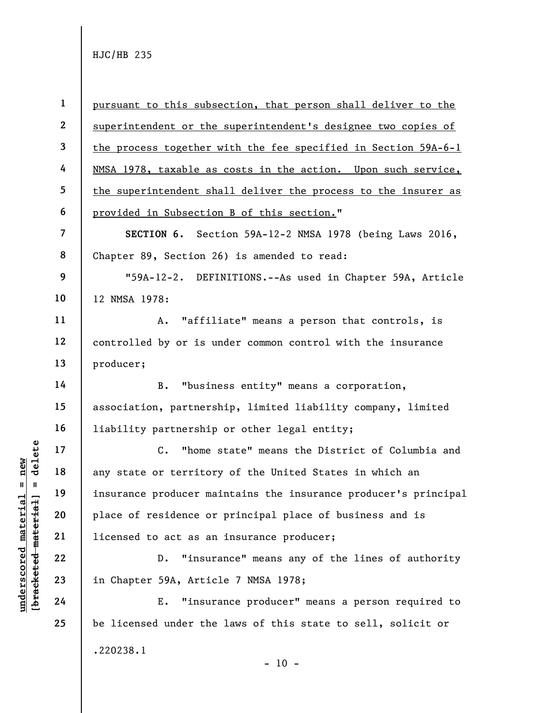underscored material = new [bracketed material] = delete 1 2 3 4 5 6 7 8 9 10 11 12 13 14 15 16 17 18 19 20 21 22 23 24 25 pursuant to this subsection, that person shall deliver to the superintendent or the superintendent's designee two copies of the process together with the fee specified in Section 59A-6-1 NMSA 1978, taxable as costs in the action. Upon such service, the superintendent shall deliver the process to the insurer as provided in Subsection B of this section." SECTION 6. Section 59A-12-2 NMSA 1978 (being Laws 2016, Chapter 89, Section 26) is amended to read: "59A-12-2. DEFINITIONS.--As used in Chapter 59A, Article 12 NMSA 1978: A. "affiliate" means a person that controls, is controlled by or is under common control with the insurance producer; B. "business entity" means a corporation, association, partnership, limited liability company, limited liability partnership or other legal entity; C. "home state" means the District of Columbia and any state or territory of the United States in which an insurance producer maintains the insurance producer's principal place of residence or principal place of business and is licensed to act as an insurance producer; D. "insurance" means any of the lines of authority in Chapter 59A, Article 7 NMSA 1978; E. "insurance producer" means a person required to be licensed under the laws of this state to sell, solicit or .220238.1  $- 10 -$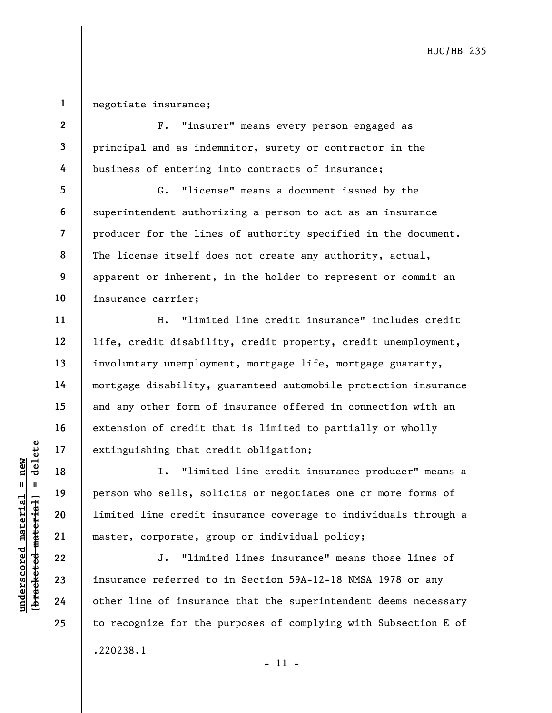1 negotiate insurance;

2

3

4

5

6

7

8

9

10

11

12

13

14

15

16

17

18

19

20

21

22

23

24

25

F. "insurer" means every person engaged as principal and as indemnitor, surety or contractor in the business of entering into contracts of insurance;

G. "license" means a document issued by the superintendent authorizing a person to act as an insurance producer for the lines of authority specified in the document. The license itself does not create any authority, actual, apparent or inherent, in the holder to represent or commit an insurance carrier;

H. "limited line credit insurance" includes credit life, credit disability, credit property, credit unemployment, involuntary unemployment, mortgage life, mortgage guaranty, mortgage disability, guaranteed automobile protection insurance and any other form of insurance offered in connection with an extension of credit that is limited to partially or wholly extinguishing that credit obligation;

under 17<br>
= 18<br>
= 18<br>
= 19<br>
= 19<br>
= 19<br>
= 19<br>
= 19<br>
= 19<br>
= 19<br>
= 19<br>
= 19<br>
= 19<br>
= 19<br>
= 19<br>
= 19<br>
= 19<br>
= 19<br>
= 19<br>
= 19<br>
= 19<br>
= 19<br>
= 19<br>
= 19<br>
= 19<br>
= 19<br>
= 19<br>
= 19<br>
= 19<br>
= 19<br>
= 19<br>
= 19<br>
= 19<br>
= 19<br>
= 19<br>
= 19<br>
= I. "limited line credit insurance producer" means a person who sells, solicits or negotiates one or more forms of limited line credit insurance coverage to individuals through a master, corporate, group or individual policy;

J. "limited lines insurance" means those lines of insurance referred to in Section 59A-12-18 NMSA 1978 or any other line of insurance that the superintendent deems necessary to recognize for the purposes of complying with Subsection E of .220238.1

- 11 -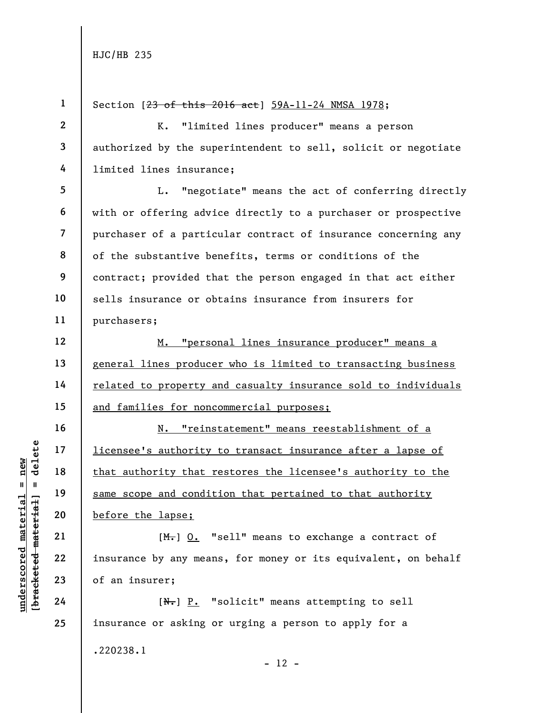|                                 | $\mathbf{1}$   | Section [23 of this 2016 act] 59A-11-24 NMSA 1978;             |
|---------------------------------|----------------|----------------------------------------------------------------|
|                                 | $\mathbf{2}$   | "limited lines producer" means a person<br><b>K.</b>           |
|                                 | 3              | authorized by the superintendent to sell, solicit or negotiate |
|                                 | 4              | limited lines insurance;                                       |
|                                 | 5              | "negotiate" means the act of conferring directly<br>L.         |
|                                 | 6              | with or offering advice directly to a purchaser or prospective |
|                                 | $\overline{7}$ | purchaser of a particular contract of insurance concerning any |
|                                 | 8              | of the substantive benefits, terms or conditions of the        |
|                                 | 9              | contract; provided that the person engaged in that act either  |
|                                 | 10             | sells insurance or obtains insurance from insurers for         |
|                                 | 11             | purchasers;                                                    |
|                                 | 12             | M. "personal lines insurance producer" means a                 |
|                                 | 13             | general lines producer who is limited to transacting business  |
|                                 | 14             | related to property and casualty insurance sold to individuals |
|                                 | 15             | and families for noncommercial purposes;                       |
|                                 | 16             | N. "reinstatement" means reestablishment of a                  |
| delete                          | 17             | licensee's authority to transact insurance after a lapse of    |
| new                             | 18             | that authority that restores the licensee's authority to the   |
| II                              | 19             | same scope and condition that pertained to that authority      |
| materia                         | 20             | before the lapse;                                              |
| [ <del>bracketed material</del> | 21             | $[M1]$ 0. "sell" means to exchange a contract of               |
| $\bm{{\rm underscore}}$         | 22             | insurance by any means, for money or its equivalent, on behalf |
|                                 | 23             | of an insurer;                                                 |
|                                 | 24             | $[N1]$ $P2$ "solicit" means attempting to sell                 |
|                                 | 25             | insurance or asking or urging a person to apply for a          |
|                                 |                | .220238.1                                                      |

- 12 -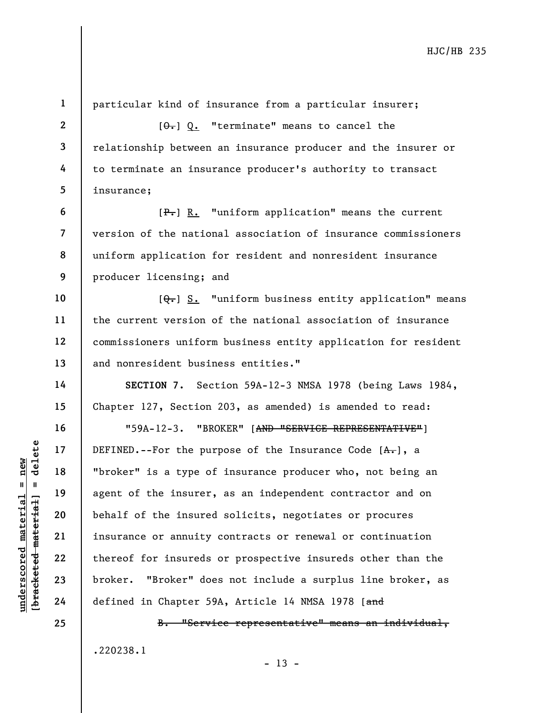UNDEFINED.--For the pur<br>
and the material material end of the insurer,<br>
where is a type of<br>
agent of the insurer,<br>
behalf of the insured<br>
21 insurance or annuity<br>
22 thereof for insureds<br>
23 broker. "Broker" doe<br>
24 define 1 2 3 4 5 6 7 8 9 10 11 12 13 14 15 16 17 18 19 20 21 22 23 24 25 particular kind of insurance from a particular insurer;  $[\theta_{\tau}]$  Q. "terminate" means to cancel the relationship between an insurance producer and the insurer or to terminate an insurance producer's authority to transact insurance; [P.] R. "uniform application" means the current version of the national association of insurance commissioners uniform application for resident and nonresident insurance producer licensing; and  $[Q_{\tau}]$  S. "uniform business entity application" means the current version of the national association of insurance commissioners uniform business entity application for resident and nonresident business entities." SECTION 7. Section 59A-12-3 NMSA 1978 (being Laws 1984, Chapter 127, Section 203, as amended) is amended to read: "59A-12-3. "BROKER" [AND "SERVICE REPRESENTATIVE"] DEFINED.--For the purpose of the Insurance Code  $[A,-]$ , a "broker" is a type of insurance producer who, not being an agent of the insurer, as an independent contractor and on behalf of the insured solicits, negotiates or procures insurance or annuity contracts or renewal or continuation thereof for insureds or prospective insureds other than the broker. "Broker" does not include a surplus line broker, as defined in Chapter 59A, Article 14 NMSA 1978 [and B. "Service representative" means an individual, .220238.1

 $- 13 -$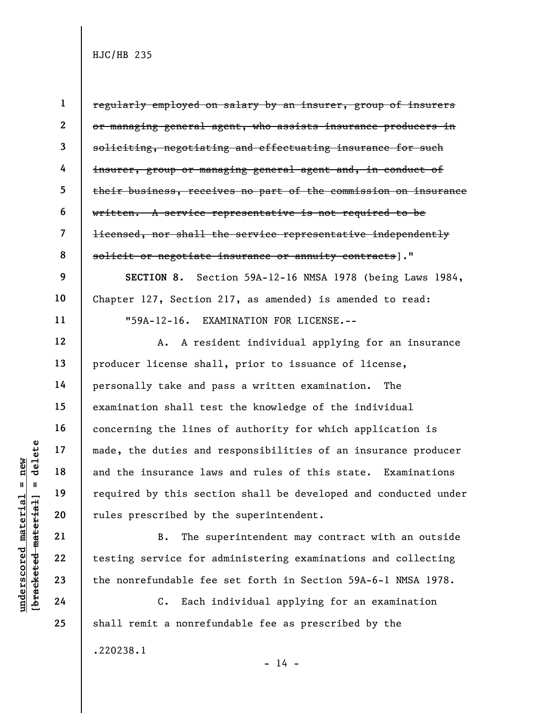| $\frac{1}{2}$       |                  |  |
|---------------------|------------------|--|
|                     | $\mathbf{u}$     |  |
| Ĺ                   | į                |  |
| nma<br>Ten<br>מהז∍ה | .<br>T<br>これのかにま |  |

9

10

11

12

13

14

15

16

17

18

19

20

21

22

23

24

25

1 2 3 4 5 6 7 8 regularly employed on salary by an insurer, group of insurers or managing general agent, who assists insurance producers in soliciting, negotiating and effectuating insurance for such insurer, group or managing general agent and, in conduct of their business, receives no part of the commission on insurance written. A service representative is not required to be licensed, nor shall the service representative independently solicit or negotiate insurance or annuity contracts]."

SECTION 8. Section 59A-12-16 NMSA 1978 (being Laws 1984, Chapter 127, Section 217, as amended) is amended to read: "59A-12-16. EXAMINATION FOR LICENSE.--

understand<br>
and the duties and<br>
and the insurance law<br>
required by this sect<br>
rules prescribed by t<br>
rules prescribed by t<br>
21<br>
22<br>
testing service for a<br>
the nonrefundable fee<br>
24<br>
C. Each i A. A resident individual applying for an insurance producer license shall, prior to issuance of license, personally take and pass a written examination. The examination shall test the knowledge of the individual concerning the lines of authority for which application is made, the duties and responsibilities of an insurance producer and the insurance laws and rules of this state. Examinations required by this section shall be developed and conducted under rules prescribed by the superintendent.

B. The superintendent may contract with an outside testing service for administering examinations and collecting the nonrefundable fee set forth in Section 59A-6-1 NMSA 1978.

C. Each individual applying for an examination shall remit a nonrefundable fee as prescribed by the .220238.1

 $- 14 -$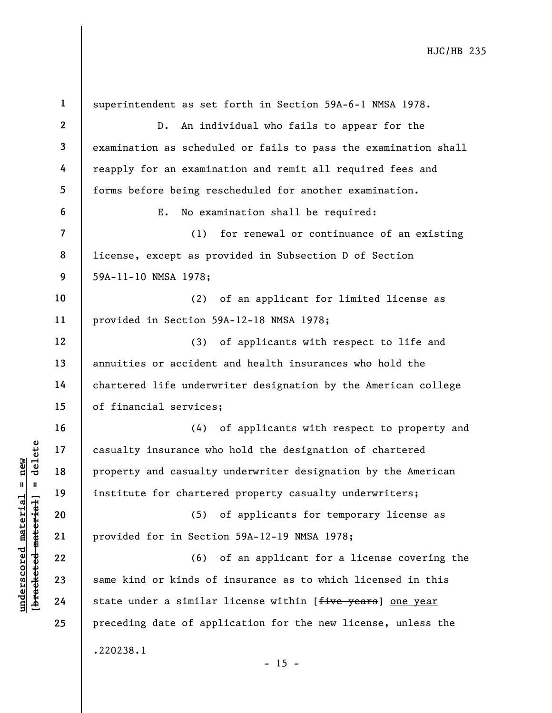|                                                        | $\mathbf{1}$            | superintendent as set forth in Section 59A-6-1 NMSA 1978.                      |
|--------------------------------------------------------|-------------------------|--------------------------------------------------------------------------------|
|                                                        | $\overline{2}$          | An individual who fails to appear for the<br>$D$ .                             |
|                                                        | $\overline{\mathbf{3}}$ | examination as scheduled or fails to pass the examination shall                |
|                                                        | 4                       | reapply for an examination and remit all required fees and                     |
|                                                        | 5                       | forms before being rescheduled for another examination.                        |
|                                                        | 6                       | No examination shall be required:<br>Ε.                                        |
|                                                        | 7                       | for renewal or continuance of an existing<br>(1)                               |
|                                                        | 8                       | license, except as provided in Subsection D of Section                         |
|                                                        | 9                       | 59A-11-10 NMSA 1978;                                                           |
|                                                        | 10                      | (2)<br>of an applicant for limited license as                                  |
|                                                        | 11                      | provided in Section 59A-12-18 NMSA 1978;                                       |
|                                                        | 12                      | of applicants with respect to life and<br>(3)                                  |
|                                                        | 13                      | annuities or accident and health insurances who hold the                       |
|                                                        | 14                      | chartered life underwriter designation by the American college                 |
|                                                        | 15                      | of financial services;                                                         |
|                                                        | 16                      | (4) of applicants with respect to property and                                 |
| delete                                                 | 17                      | casualty insurance who hold the designation of chartered                       |
| new                                                    | 18                      | property and casualty underwriter designation by the American                  |
| II                                                     | 19                      | institute for chartered property casualty underwriters;                        |
| underscored materia<br>[ <del>bracketed materia]</del> | 20                      | of applicants for temporary license as<br>(5)                                  |
|                                                        | 21                      | provided for in Section 59A-12-19 NMSA 1978;                                   |
|                                                        | 22                      | of an applicant for a license covering the<br>(6)                              |
|                                                        | 23                      | same kind or kinds of insurance as to which licensed in this                   |
|                                                        | 24                      | state under a similar license within [ <del>five years</del> ] <u>one year</u> |
|                                                        | 25                      | preceding date of application for the new license, unless the                  |
|                                                        |                         | .220238.1                                                                      |
|                                                        |                         | $-15 -$                                                                        |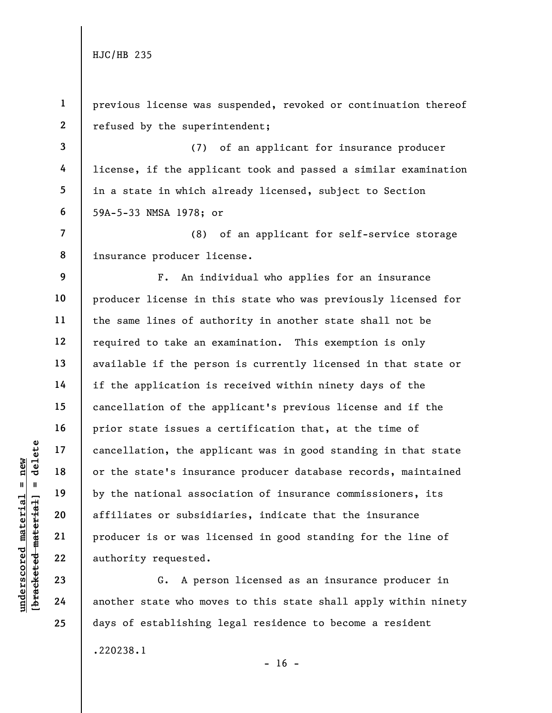understate material material and the state's insura<br>
and the state's insura<br>
by the national assoc<br>
affiliates or subsidi<br>
producer is or was li<br>
authority requested.<br>
23<br>
24<br>
another state who mov 1 2 3 4 5 6 7 8 9 10 11 12 13 14 15 16 17 18 19 20 21 22 23 24 25 previous license was suspended, revoked or continuation thereof refused by the superintendent; (7) of an applicant for insurance producer license, if the applicant took and passed a similar examination in a state in which already licensed, subject to Section 59A-5-33 NMSA 1978; or (8) of an applicant for self-service storage insurance producer license. F. An individual who applies for an insurance producer license in this state who was previously licensed for the same lines of authority in another state shall not be required to take an examination. This exemption is only available if the person is currently licensed in that state or if the application is received within ninety days of the cancellation of the applicant's previous license and if the prior state issues a certification that, at the time of cancellation, the applicant was in good standing in that state or the state's insurance producer database records, maintained by the national association of insurance commissioners, its affiliates or subsidiaries, indicate that the insurance producer is or was licensed in good standing for the line of authority requested. G. A person licensed as an insurance producer in another state who moves to this state shall apply within ninety days of establishing legal residence to become a resident

.220238.1

 $- 16 -$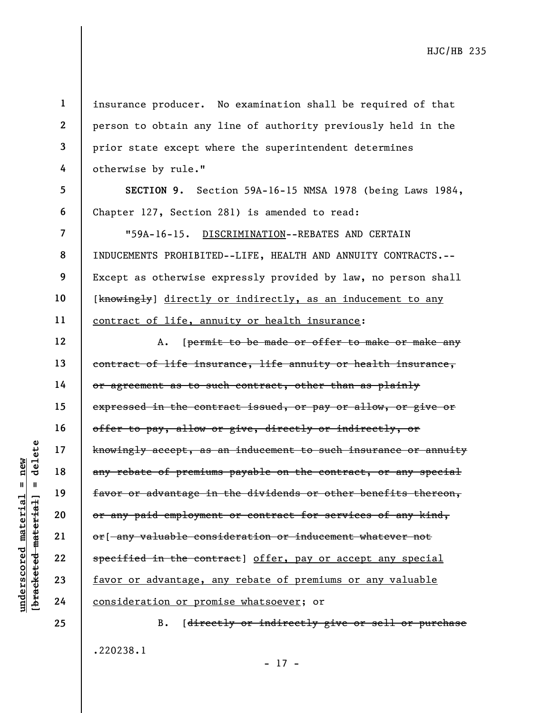underscored material = new [bracketed material] = delete 1 2 3 4 5 6 7 8 9 10 11 12 13 14 15 16 17 18 19 20 21 22 23 24 25 insurance producer. No examination shall be required of that person to obtain any line of authority previously held in the prior state except where the superintendent determines otherwise by rule." SECTION 9. Section 59A-16-15 NMSA 1978 (being Laws 1984, Chapter 127, Section 281) is amended to read: "59A-16-15. DISCRIMINATION--REBATES AND CERTAIN INDUCEMENTS PROHIBITED--LIFE, HEALTH AND ANNUITY CONTRACTS.-- Except as otherwise expressly provided by law, no person shall [knowingly] directly or indirectly, as an inducement to any contract of life, annuity or health insurance: A. [permit to be made or offer to make or make any contract of life insurance, life annuity or health insurance, or agreement as to such contract, other than as plainly expressed in the contract issued, or pay or allow, or give or offer to pay, allow or give, directly or indirectly, or knowingly accept, as an inducement to such insurance or annuity any rebate of premiums payable on the contract, or any special favor or advantage in the dividends or other benefits thereon, or any paid employment or contract for services of any kind, or[ any valuable consideration or inducement whatever not specified in the contract] offer, pay or accept any special favor or advantage, any rebate of premiums or any valuable consideration or promise whatsoever; or B. [directly or indirectly give or sell or purchase

.220238.1

- 17 -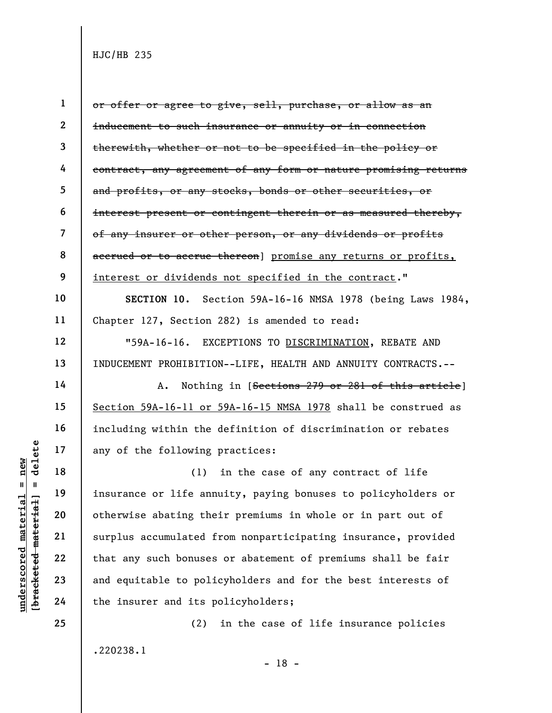|                                         | $\mathbf{2}$ | <del>ind</del>   |
|-----------------------------------------|--------------|------------------|
|                                         | 3            | <del>the</del>   |
|                                         | 4            | eon              |
|                                         | 5            | and              |
|                                         | 6            | $\frac{1}{1}$ nt |
|                                         | 7            | $\theta f$       |
|                                         | 8            | aee              |
|                                         | 9            | <u>int</u>       |
|                                         | 10           |                  |
|                                         | 11           | Cha              |
|                                         | 12           |                  |
|                                         | 13           | IND              |
|                                         | 14           |                  |
|                                         | 15           | <u>Sec</u>       |
|                                         | 16           | inc              |
|                                         | 17           | any              |
| delete                                  | 18           |                  |
| $\mathsf{I}$                            | 19           | ins              |
| $\text{irial} = new$<br>ia <sub>1</sub> | 20           | oth              |
|                                         | 21           | sur              |
| racketed mater<br>underscored mate.     | 22           | tha              |
|                                         | 23           | and              |
|                                         | 24           | the              |
|                                         |              |                  |

25

1 or offer or agree to give, sell, purchase, or allow as an lucement to such insurance or annuity or in connection erewith, whether or not to be specified in the policy or itract, any agreement of any form or nature promising returns l profits, or any stocks, bonds or other securities, or  $\epsilon$ erest present or contingent therein or as measured thereby, any insurer or other person, or any dividends or profits erued or to accrue thereon] promise any returns or profits, erest or dividends not specified in the contract."

SECTION 10. Section 59A-16-16 NMSA 1978 (being Laws 1984, upter  $127$ , Section 282) is amended to read:

"59A-16-16. EXCEPTIONS TO DISCRIMINATION, REBATE AND INDUCEMENT PROHIBITION--LIFE, HEALTH AND ANNUITY CONTRACTS.--

A. Nothing in [Sections 279 or 281 of this article] ction 59A-16-11 or 59A-16-15 NMSA 1978 shall be construed as luding within the definition of discrimination or rebates of the following practices:

under 17<br>
= 18<br>
= 18<br>
= 19<br>
= 19<br>
= 19<br>
= 19<br>
= 19<br>
= 19<br>
= 19<br>
= 19<br>
= 19<br>
= 19<br>
= 19<br>
= 19<br>
= 19<br>
= 19<br>
= 19<br>
= 19<br>
= 19<br>
= 19<br>
= 19<br>
= 19<br>
21<br>
= 19<br>
= 19<br>
= 19<br>
22<br>
= 19<br>
= 19<br>
24<br>
= 19<br>
= 19<br>
the insure the political p (1) in the case of any contract of life surance or life annuity, paying bonuses to policyholders or erwise abating their premiums in whole or in part out of plus accumulated from nonparticipating insurance, provided at any such bonuses or abatement of premiums shall be fair l equitable to policyholders and for the best interests of e insurer and its policyholders;

.220238.1

- 18 -

(2) in the case of life insurance policies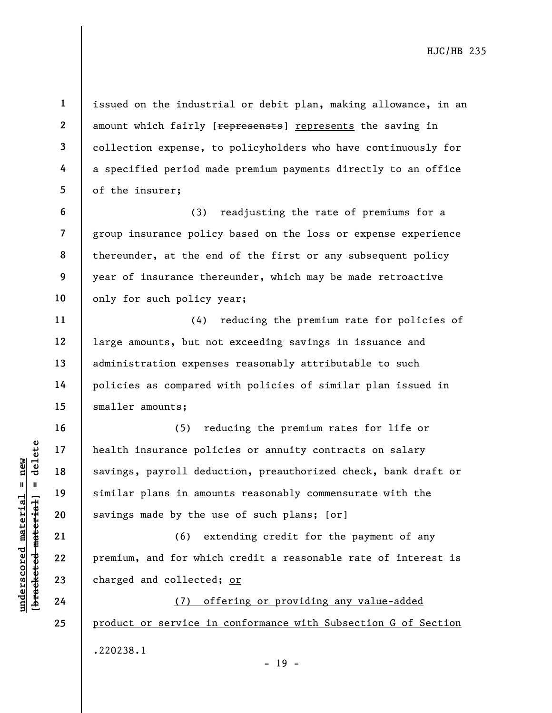issued on the industrial or debit plan, making allowance, in an amount which fairly [represensts] represents the saving in collection expense, to policyholders who have continuously for a specified period made premium payments directly to an office of the insurer;

(3) readjusting the rate of premiums for a group insurance policy based on the loss or expense experience thereunder, at the end of the first or any subsequent policy year of insurance thereunder, which may be made retroactive only for such policy year;

(4) reducing the premium rate for policies of large amounts, but not exceeding savings in issuance and administration expenses reasonably attributable to such policies as compared with policies of similar plan issued in smaller amounts;

underscored material = new [bracketed material] = delete (5) reducing the premium rates for life or health insurance policies or annuity contracts on salary savings, payroll deduction, preauthorized check, bank draft or similar plans in amounts reasonably commensurate with the savings made by the use of such plans;  $[ $\sigma$  r]$ 

(6) extending credit for the payment of any premium, and for which credit a reasonable rate of interest is charged and collected; or

(7) offering or providing any value-added product or service in conformance with Subsection G of Section .220238.1 - 19 -

24 25

1

2

3

4

5

6

7

8

9

10

11

12

13

14

15

16

17

18

19

20

21

22

23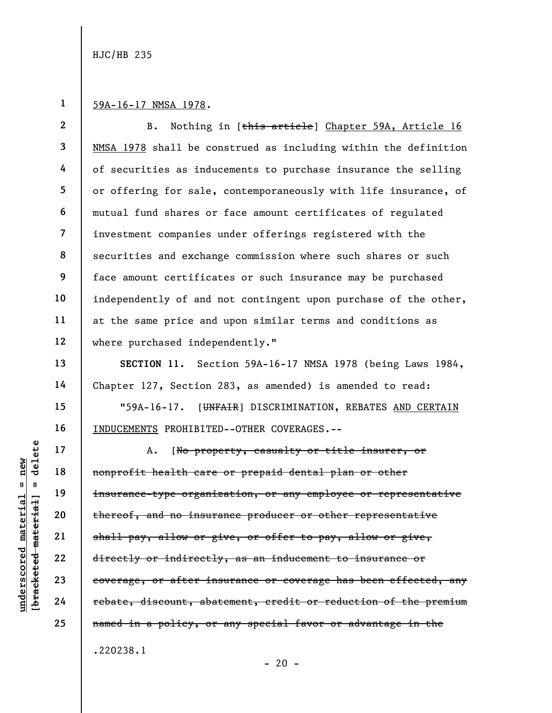1 59A-16-17 NMSA 1978.

2 3 4 5 6 7 8 9 10 11 12 B. Nothing in [this article] Chapter 59A, Article 16 NMSA 1978 shall be construed as including within the definition of securities as inducements to purchase insurance the selling or offering for sale, contemporaneously with life insurance, of mutual fund shares or face amount certificates of regulated investment companies under offerings registered with the securities and exchange commission where such shares or such face amount certificates or such insurance may be purchased independently of and not contingent upon purchase of the other, at the same price and upon similar terms and conditions as where purchased independently."

SECTION 11. Section 59A-16-17 NMSA 1978 (being Laws 1984, Chapter 127, Section 283, as amended) is amended to read:

"59A-16-17. [UNFAIR] DISCRIMINATION, REBATES AND CERTAIN INDUCEMENTS PROHIBITED--OTHER COVERAGES.--

underscored material = new [bracketed material] = delete A. [No property, casualty or title insurer, or nonprofit health care or prepaid dental plan or other insurance-type organization, or any employee or representative thereof, and no insurance producer or other representative shall pay, allow or give, or offer to pay, allow or give, directly or indirectly, as an inducement to insurance or coverage, or after insurance or coverage has been effected, any rebate, discount, abatement, credit or reduction of the premium named in a policy, or any special favor or advantage in the .220238.1

 $- 20 -$ 

13

14

15

16

17

18

19

20

21

22

23

24

25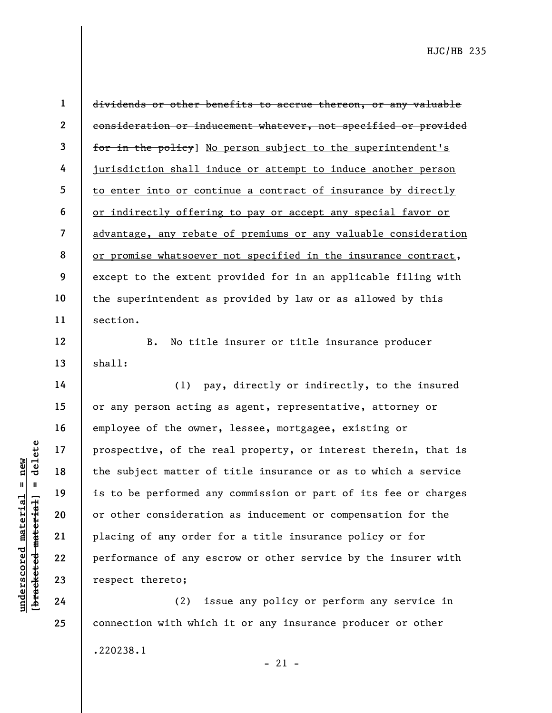12

13

14

15

16

17

18

19

20

21

22

23

24

25

1 2 3 4 5 6 7 8 9 10 11 dividends or other benefits to accrue thereon, or any valuable consideration or inducement whatever, not specified or provided for in the policy] No person subject to the superintendent's jurisdiction shall induce or attempt to induce another person to enter into or continue a contract of insurance by directly or indirectly offering to pay or accept any special favor or advantage, any rebate of premiums or any valuable consideration or promise whatsoever not specified in the insurance contract, except to the extent provided for in an applicable filing with the superintendent as provided by law or as allowed by this section.

B. No title insurer or title insurance producer shall:

understand material prospective, of the r<br>
and the subject matter of<br>
the subject matter of<br>
is to be performed an<br>
or other consideration<br>
21<br>
22<br>
placing of any order<br>
22<br>
performance of any es<br>
23<br>
respect thereto;<br>
24<br> (1) pay, directly or indirectly, to the insured or any person acting as agent, representative, attorney or employee of the owner, lessee, mortgagee, existing or prospective, of the real property, or interest therein, that is the subject matter of title insurance or as to which a service is to be performed any commission or part of its fee or charges or other consideration as inducement or compensation for the placing of any order for a title insurance policy or for performance of any escrow or other service by the insurer with respect thereto;

(2) issue any policy or perform any service in connection with which it or any insurance producer or other .220238.1

 $-21 -$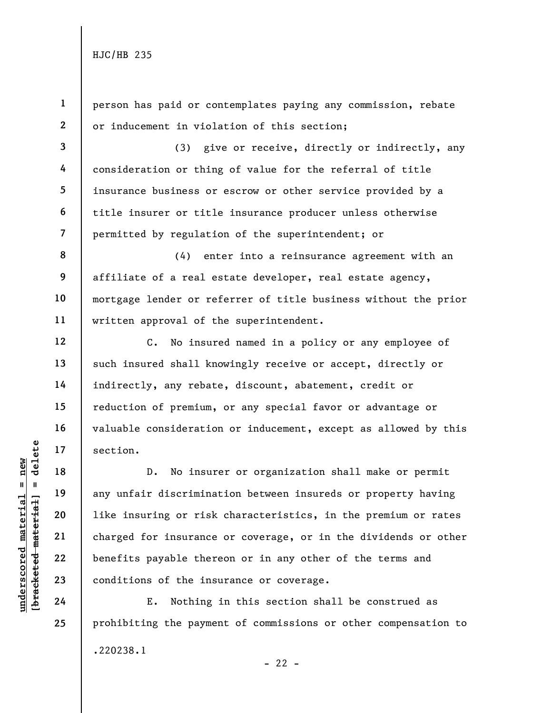1

2

3

4

5

6

7

12

13

14

15

16

17

18

19

20

21

22

person has paid or contemplates paying any commission, rebate or inducement in violation of this section;

(3) give or receive, directly or indirectly, any consideration or thing of value for the referral of title insurance business or escrow or other service provided by a title insurer or title insurance producer unless otherwise permitted by regulation of the superintendent; or

8 9 10 11 (4) enter into a reinsurance agreement with an affiliate of a real estate developer, real estate agency, mortgage lender or referrer of title business without the prior written approval of the superintendent.

C. No insured named in a policy or any employee of such insured shall knowingly receive or accept, directly or indirectly, any rebate, discount, abatement, credit or reduction of premium, or any special favor or advantage or valuable consideration or inducement, except as allowed by this section.

underscored material = new [bracketed material] = delete D. No insurer or organization shall make or permit any unfair discrimination between insureds or property having like insuring or risk characteristics, in the premium or rates charged for insurance or coverage, or in the dividends or other benefits payable thereon or in any other of the terms and conditions of the insurance or coverage.

E. Nothing in this section shall be construed as prohibiting the payment of commissions or other compensation to .220238.1  $- 22 -$ 

23 24 25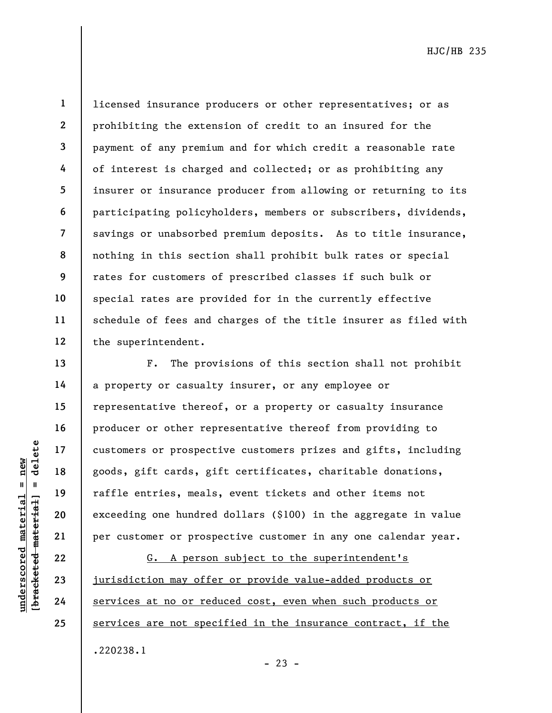1

2

22 23 24

25

licensed insurance producers or other representatives; or as prohibiting the extension of credit to an insured for the payment of any premium and for which credit a reasonable rate of interest is charged and collected; or as prohibiting any insurer or insurance producer from allowing or returning to its participating policyholders, members or subscribers, dividends, savings or unabsorbed premium deposits. As to title insurance, nothing in this section shall prohibit bulk rates or special rates for customers of prescribed classes if such bulk or special rates are provided for in the currently effective schedule of fees and charges of the title insurer as filed with the superintendent.

underscore prospect<br>
and the material spoods, gift cards, gift<br>
and the material painting one hundred<br>
exceeding one hundred<br>
exceeding one hundred<br>
21<br>
22<br>
23<br>
<u>iurisdiction may offer</u><br>
24<br>
<u>services at no or red</u> F. The provisions of this section shall not prohibit a property or casualty insurer, or any employee or representative thereof, or a property or casualty insurance producer or other representative thereof from providing to customers or prospective customers prizes and gifts, including goods, gift cards, gift certificates, charitable donations, raffle entries, meals, event tickets and other items not exceeding one hundred dollars (\$100) in the aggregate in value per customer or prospective customer in any one calendar year.

G. A person subject to the superintendent's jurisdiction may offer or provide value-added products or services at no or reduced cost, even when such products or services are not specified in the insurance contract, if the .220238.1

 $- 23 -$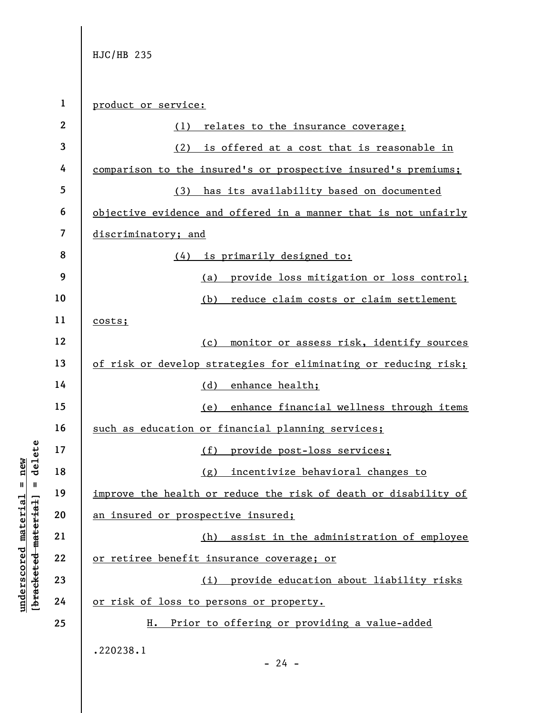underscored material material or the sealth or the health or the health or the health or the health or the health or the health or the health or  $\frac{1}{2}$  an insured or prospected material  $\frac{2}{3}$  and  $\frac{2}{3}$  or retire 1 2 3 4 5 6 7 8 9 10 11 12 13 14 15 16 17 18 19 20 21 22 23 24 25 product or service: (1) relates to the insurance coverage; (2) is offered at a cost that is reasonable in comparison to the insured's or prospective insured's premiums; (3) has its availability based on documented objective evidence and offered in a manner that is not unfairly discriminatory; and (4) is primarily designed to: (a) provide loss mitigation or loss control; (b) reduce claim costs or claim settlement costs; (c) monitor or assess risk, identify sources of risk or develop strategies for eliminating or reducing risk; (d) enhance health; (e) enhance financial wellness through items such as education or financial planning services; (f) provide post-loss services; (g) incentivize behavioral changes to improve the health or reduce the risk of death or disability of an insured or prospective insured; (h) assist in the administration of employee or retiree benefit insurance coverage; or (i) provide education about liability risks or risk of loss to persons or property. H. Prior to offering or providing a value-added .220238.1  $- 24 -$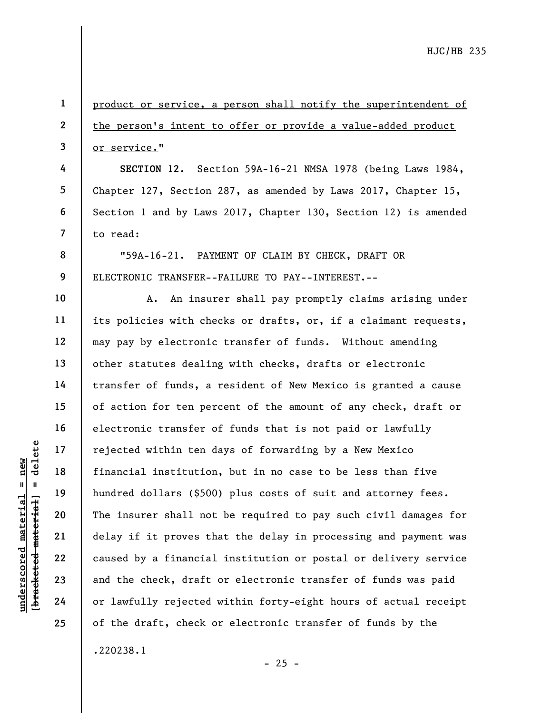underscored material states of the set of the set of the set of the check, draft<br>gradient and the check, draft<br>and the check, draft<br>delay if it proves the<br>dependence of the check, draft<br>and the check, draft<br>or lawfully rej 1 2 3 4 5 6 7 8 9 10 11 12 13 14 15 16 17 18 19 20 21 22 23 24 25 product or service, a person shall notify the superintendent of the person's intent to offer or provide a value-added product or service." SECTION 12. Section 59A-16-21 NMSA 1978 (being Laws 1984, Chapter 127, Section 287, as amended by Laws 2017, Chapter 15, Section 1 and by Laws 2017, Chapter 130, Section 12) is amended to read: "59A-16-21. PAYMENT OF CLAIM BY CHECK, DRAFT OR ELECTRONIC TRANSFER--FAILURE TO PAY--INTEREST.-- A. An insurer shall pay promptly claims arising under its policies with checks or drafts, or, if a claimant requests, may pay by electronic transfer of funds. Without amending other statutes dealing with checks, drafts or electronic transfer of funds, a resident of New Mexico is granted a cause of action for ten percent of the amount of any check, draft or electronic transfer of funds that is not paid or lawfully rejected within ten days of forwarding by a New Mexico financial institution, but in no case to be less than five hundred dollars (\$500) plus costs of suit and attorney fees. The insurer shall not be required to pay such civil damages for delay if it proves that the delay in processing and payment was caused by a financial institution or postal or delivery service and the check, draft or electronic transfer of funds was paid or lawfully rejected within forty-eight hours of actual receipt of the draft, check or electronic transfer of funds by the .220238.1

 $- 25 -$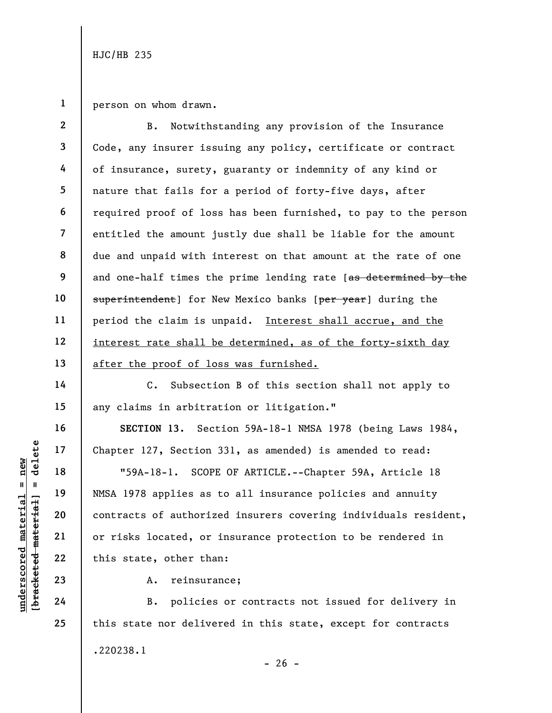1 person on whom drawn.

2 3 4 5 6 7 8 9 10 11 12 13 B. Notwithstanding any provision of the Insurance Code, any insurer issuing any policy, certificate or contract of insurance, surety, guaranty or indemnity of any kind or nature that fails for a period of forty-five days, after required proof of loss has been furnished, to pay to the person entitled the amount justly due shall be liable for the amount due and unpaid with interest on that amount at the rate of one and one-half times the prime lending rate [as determined by the superintendent] for New Mexico banks [per year] during the period the claim is unpaid. Interest shall accrue, and the interest rate shall be determined, as of the forty-sixth day after the proof of loss was furnished.

C. Subsection B of this section shall not apply to any claims in arbitration or litigation."

SECTION 13. Section 59A-18-1 NMSA 1978 (being Laws 1984, Chapter 127, Section 331, as amended) is amended to read:

under 127, Section<br>
17 and 18 munder 127, Section<br>
18 munder 127, Section<br>
19 munder 127, Section<br>
19 munder 127, Section<br>
19 munder 127, Section<br>
19 munder 127, Section<br>
19 munder 127, Section<br>
19 munder 127, Section<br>
19 "59A-18-1. SCOPE OF ARTICLE.--Chapter 59A, Article 18 NMSA 1978 applies as to all insurance policies and annuity contracts of authorized insurers covering individuals resident, or risks located, or insurance protection to be rendered in this state, other than:

A. reinsurance;

B. policies or contracts not issued for delivery in this state nor delivered in this state, except for contracts .220238.1  $- 26 -$ 

14

15

16

17

18

19

20

21

22

23

24

25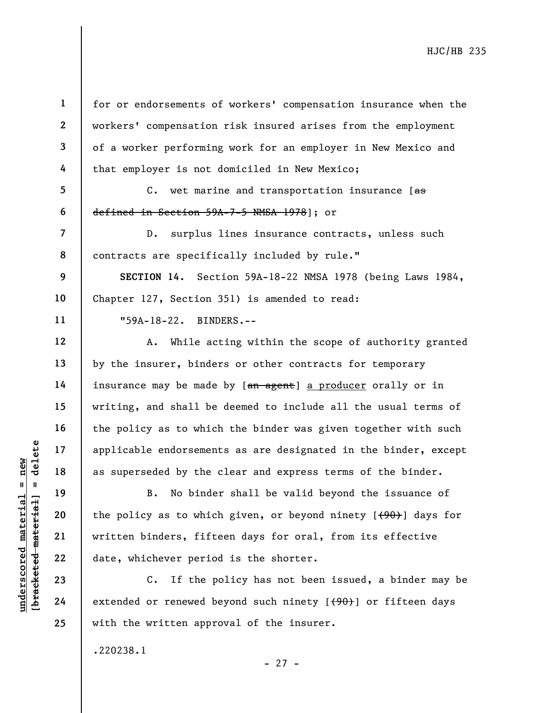underscored material = new [bracketed material] = delete 1 2 3 4 5 6 7 8 9 10 11 12 13 14 15 16 17 18 19 20 21 22 23 24 25 for or endorsements of workers' compensation insurance when the workers' compensation risk insured arises from the employment defined in Section 59A-7-5 NMSA 1978]; or

of a worker performing work for an employer in New Mexico and that employer is not domiciled in New Mexico; C. wet marine and transportation insurance  $[$ as

D. surplus lines insurance contracts, unless such contracts are specifically included by rule."

SECTION 14. Section 59A-18-22 NMSA 1978 (being Laws 1984, Chapter 127, Section 351) is amended to read:

"59A-18-22. BINDERS.--

A. While acting within the scope of authority granted by the insurer, binders or other contracts for temporary insurance may be made by [an agent] a producer orally or in writing, and shall be deemed to include all the usual terms of the policy as to which the binder was given together with such applicable endorsements as are designated in the binder, except as superseded by the clear and express terms of the binder.

B. No binder shall be valid beyond the issuance of the policy as to which given, or beyond ninety  $[490]$  days for written binders, fifteen days for oral, from its effective date, whichever period is the shorter.

C. If the policy has not been issued, a binder may be extended or renewed beyond such ninety  $[$  (90)] or fifteen days with the written approval of the insurer.

.220238.1

- 27 -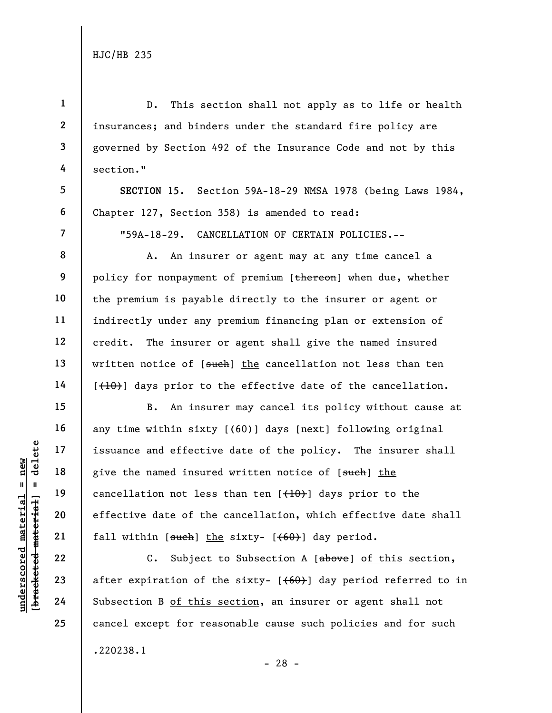1

4

5

6

7

8

9

10

11

12

13

14

15

16

17

18

19

20

21

22

23

24

25

2 3 D. This section shall not apply as to life or health insurances; and binders under the standard fire policy are governed by Section 492 of the Insurance Code and not by this section."

SECTION 15. Section 59A-18-29 NMSA 1978 (being Laws 1984, Chapter 127, Section 358) is amended to read:

"59A-18-29. CANCELLATION OF CERTAIN POLICIES.--

A. An insurer or agent may at any time cancel a policy for nonpayment of premium [thereon] when due, whether the premium is payable directly to the insurer or agent or indirectly under any premium financing plan or extension of credit. The insurer or agent shall give the named insured written notice of [such] the cancellation not less than ten [(10)] days prior to the effective date of the cancellation.

understand the material of the same of the same of the same discording to the material space of the same discording the same discording the same discording to the same discording to the same discording to the same discordi B. An insurer may cancel its policy without cause at any time within sixty  $[60]$  days  $[next]$  following original issuance and effective date of the policy. The insurer shall give the named insured written notice of [such] the cancellation not less than ten  $[$   $($   $+$   $0$  $)$  $]$  days prior to the effective date of the cancellation, which effective date shall fall within  $[**such**]$  the sixty-  $[**(60)**]$  day period.

C. Subject to Subsection A [above] of this section, after expiration of the sixty-  $[ (60) ]$  day period referred to in Subsection B of this section, an insurer or agent shall not cancel except for reasonable cause such policies and for such .220238.1 - 28 -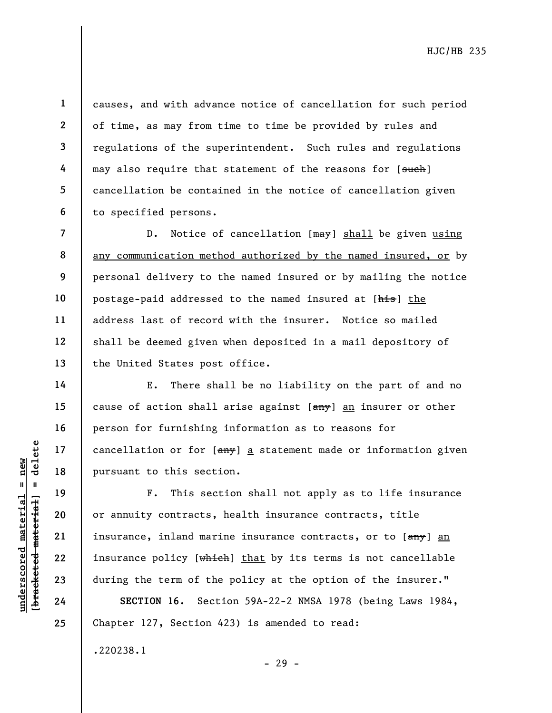1

10

11

12

13

14

15

16

17

18

19

20

21

22

23

24

25

causes, and with advance notice of cancellation for such period of time, as may from time to time be provided by rules and regulations of the superintendent. Such rules and regulations may also require that statement of the reasons for [such] cancellation be contained in the notice of cancellation given to specified persons.

D. Notice of cancellation [may] shall be given using any communication method authorized by the named insured, or by personal delivery to the named insured or by mailing the notice postage-paid addressed to the named insured at [his] the address last of record with the insurer. Notice so mailed shall be deemed given when deposited in a mail depository of the United States post office.

E. There shall be no liability on the part of and no cause of action shall arise against  $[am\psi]$  an insurer or other person for furnishing information as to reasons for cancellation or for  $[amy]$  a statement made or information given pursuant to this section.

underscored material = new [bracketed material] = delete F. This section shall not apply as to life insurance or annuity contracts, health insurance contracts, title insurance, inland marine insurance contracts, or to [any] an insurance policy [which] that by its terms is not cancellable during the term of the policy at the option of the insurer."

SECTION 16. Section 59A-22-2 NMSA 1978 (being Laws 1984, Chapter 127, Section 423) is amended to read:

- 29 -

.220238.1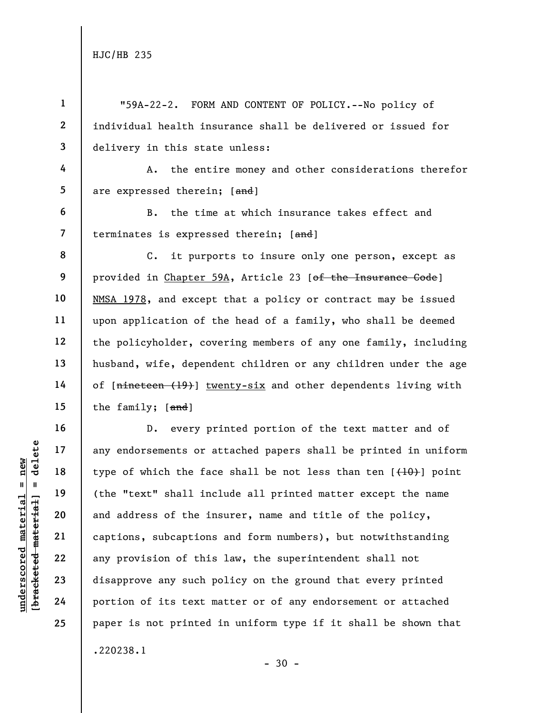|                                 | $\mathbf{1}$             | "59A-22-2. FORM AND CONTENT OF POLICY.--No policy of                      |
|---------------------------------|--------------------------|---------------------------------------------------------------------------|
|                                 | $\mathbf{2}$             | individual health insurance shall be delivered or issued for              |
|                                 | $\mathbf{3}$             | delivery in this state unless:                                            |
|                                 | 4                        | the entire money and other considerations therefor<br>Α.                  |
|                                 | 5 <sub>5</sub>           | are expressed therein; [and]                                              |
|                                 | 6                        | the time at which insurance takes effect and<br>$B$ .                     |
|                                 | $\overline{\phantom{a}}$ | terminates is expressed therein; [and]                                    |
|                                 | 8                        | it purports to insure only one person, except as<br>$\mathsf{c}$ .        |
|                                 | 9                        | provided in Chapter 59A, Article 23 [of the Insurance Gode]               |
|                                 | 10                       | NMSA 1978, and except that a policy or contract may be issued             |
|                                 | 11                       | upon application of the head of a family, who shall be deemed             |
|                                 | 12                       | the policyholder, covering members of any one family, including           |
|                                 | 13                       | husband, wife, dependent children or any children under the age           |
|                                 | 14                       | of [nineteen (19)] twenty-six and other dependents living with            |
|                                 | 15                       | the family; [and]                                                         |
|                                 | 16                       | every printed portion of the text matter and of<br>$D$ .                  |
| delete                          | 17                       | any endorsements or attached papers shall be printed in uniform           |
| new                             | 18                       | type of which the face shall be not less than ten $[$ $($ $+10$ $)$ point |
| Ш<br>$\mathbf{u}$               | 19                       | (the "text" shall include all printed matter except the name              |
| material<br>[bracketed material | 20                       | and address of the insurer, name and title of the policy,                 |
|                                 | 21                       | captions, subcaptions and form numbers), but notwithstanding              |
| $underscore$                    | 22                       | any provision of this law, the superintendent shall not                   |
|                                 | 23                       | disapprove any such policy on the ground that every printed               |
|                                 | 24                       | portion of its text matter or of any endorsement or attached              |
|                                 | 25                       | paper is not printed in uniform type if it shall be shown that            |
|                                 |                          | .220238.1                                                                 |

- 30 -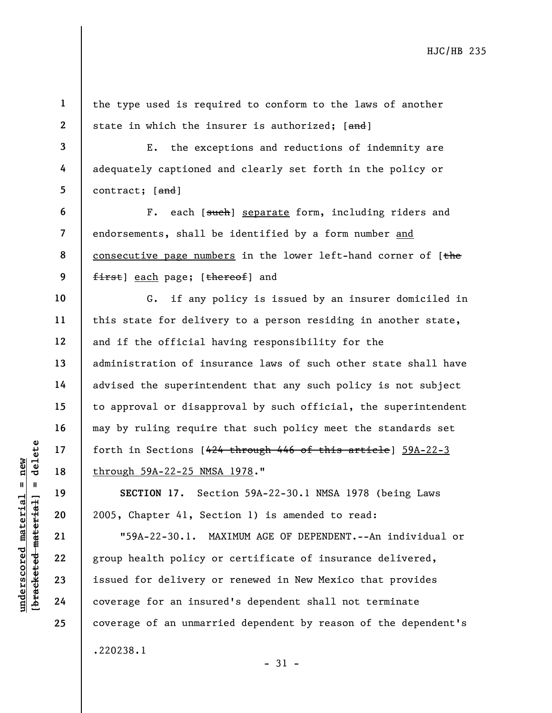1 2 the type used is required to conform to the laws of another state in which the insurer is authorized; [and]

3 4 5 E. the exceptions and reductions of indemnity are adequately captioned and clearly set forth in the policy or contract; [and]

6 7 8 9 F. each [such] separate form, including riders and endorsements, shall be identified by a form number and consecutive page numbers in the lower left-hand corner of  $[the$ first] each page; [thereof] and

G. if any policy is issued by an insurer domiciled in this state for delivery to a person residing in another state, and if the official having responsibility for the administration of insurance laws of such other state shall have advised the superintendent that any such policy is not subject to approval or disapproval by such official, the superintendent may by ruling require that such policy meet the standards set forth in Sections [424 through 446 of this article] 59A-22-3 through 59A-22-25 NMSA 1978."

SECTION 17. Section 59A-22-30.1 NMSA 1978 (being Laws 2005, Chapter 41, Section 1) is amended to read:

underscored material = new [bracketed material] = delete "59A-22-30.1. MAXIMUM AGE OF DEPENDENT.--An individual or group health policy or certificate of insurance delivered, issued for delivery or renewed in New Mexico that provides coverage for an insured's dependent shall not terminate coverage of an unmarried dependent by reason of the dependent's .220238.1  $-31 -$ 

10

11

12

13

14

15

16

17

18

19

20

21

22

23

24

25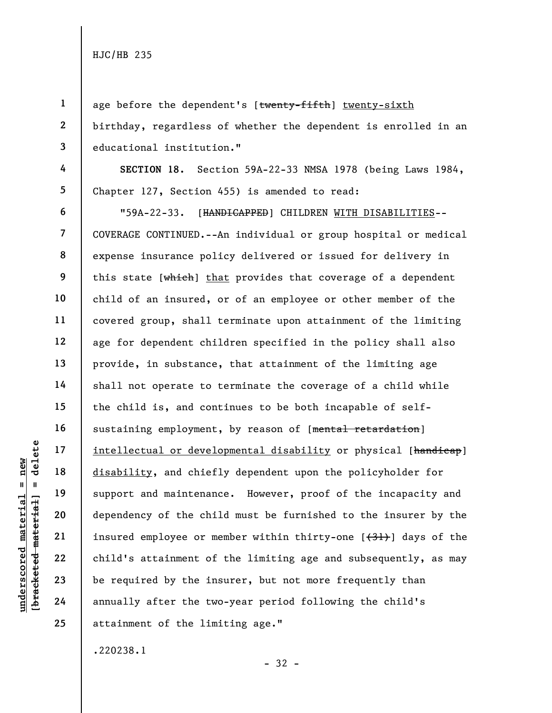1 2

3

4

5

age before the dependent's [twenty-fifth] twenty-sixth birthday, regardless of whether the dependent is enrolled in an educational institution."

SECTION 18. Section 59A-22-33 NMSA 1978 (being Laws 1984, Chapter 127, Section 455) is amended to read:

underscored material = new [bracketed material] = delete 6 7 8 9 10 11 12 13 14 15 16 17 18 19 20 21 22 23 24 25 "59A-22-33. [HANDICAPPED] CHILDREN WITH DISABILITIES-- COVERAGE CONTINUED.--An individual or group hospital or medical expense insurance policy delivered or issued for delivery in this state [which] that provides that coverage of a dependent child of an insured, or of an employee or other member of the covered group, shall terminate upon attainment of the limiting age for dependent children specified in the policy shall also provide, in substance, that attainment of the limiting age shall not operate to terminate the coverage of a child while the child is, and continues to be both incapable of selfsustaining employment, by reason of [mental retardation] intellectual or developmental disability or physical [handicap] disability, and chiefly dependent upon the policyholder for support and maintenance. However, proof of the incapacity and dependency of the child must be furnished to the insurer by the insured employee or member within thirty-one  $(31)$  days of the child's attainment of the limiting age and subsequently, as may be required by the insurer, but not more frequently than annually after the two-year period following the child's attainment of the limiting age."

.220238.1

- 32 -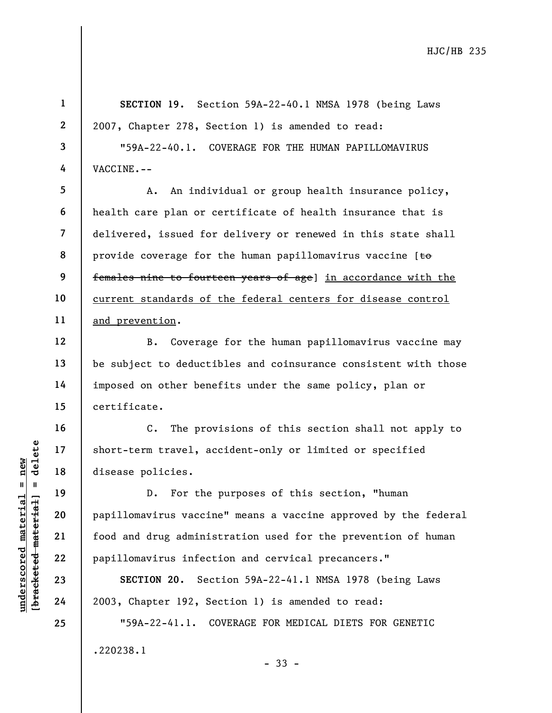SECTION 19. Section 59A-22-40.1 NMSA 1978 (being Laws 2007, Chapter 278, Section 1) is amended to read:

"59A-22-40.1. COVERAGE FOR THE HUMAN PAPILLOMAVIRUS VACCINE.--

A. An individual or group health insurance policy, health care plan or certificate of health insurance that is delivered, issued for delivery or renewed in this state shall provide coverage for the human papillomavirus vaccine [to females nine to fourteen years of age] in accordance with the current standards of the federal centers for disease control and prevention.

B. Coverage for the human papillomavirus vaccine may be subject to deductibles and coinsurance consistent with those imposed on other benefits under the same policy, plan or certificate.

C. The provisions of this section shall not apply to short-term travel, accident-only or limited or specified disease policies.

understand material short-term travel, action of the disease policies.<br>
The material of disease policies.<br>
D. For the papillomavirus vaccine<br>
papillomavirus vaccine<br>
21 food and drug adminis<br>
22 papillomavirus infect<br>
24 2 D. For the purposes of this section, "human papillomavirus vaccine" means a vaccine approved by the federal food and drug administration used for the prevention of human papillomavirus infection and cervical precancers."

SECTION 20. Section 59A-22-41.1 NMSA 1978 (being Laws 2003, Chapter 192, Section 1) is amended to read:

"59A-22-41.1. COVERAGE FOR MEDICAL DIETS FOR GENETIC .220238.1 - 33 -

3

4

5

6

7

8

9

10

11

12

13

14

15

16

17

18

19

20

21

22

23

24

25

1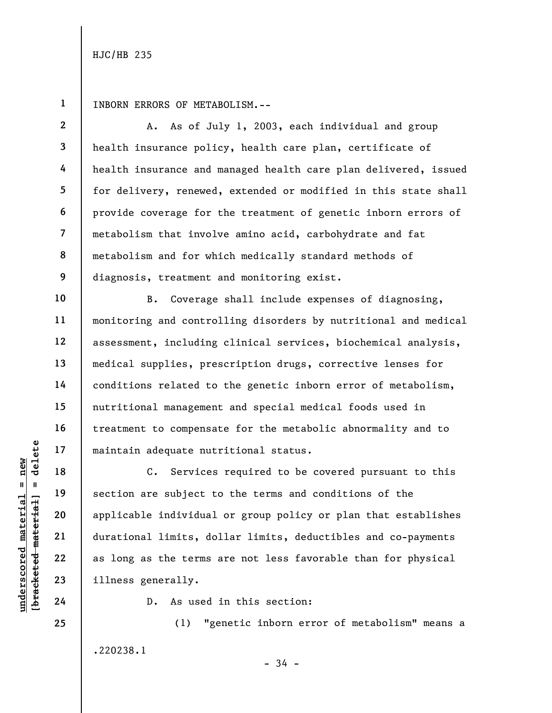2

3

4

5

6

7

8

9

10

11

12

13

14

15

16

17

18

19

20

21

22

23

24

25

1 INBORN ERRORS OF METABOLISM.--

A. As of July 1, 2003, each individual and group health insurance policy, health care plan, certificate of health insurance and managed health care plan delivered, issued for delivery, renewed, extended or modified in this state shall provide coverage for the treatment of genetic inborn errors of metabolism that involve amino acid, carbohydrate and fat metabolism and for which medically standard methods of diagnosis, treatment and monitoring exist.

B. Coverage shall include expenses of diagnosing, monitoring and controlling disorders by nutritional and medical assessment, including clinical services, biochemical analysis, medical supplies, prescription drugs, corrective lenses for conditions related to the genetic inborn error of metabolism, nutritional management and special medical foods used in treatment to compensate for the metabolic abnormality and to maintain adequate nutritional status.

underscored material = new [bracketed material] = delete C. Services required to be covered pursuant to this section are subject to the terms and conditions of the applicable individual or group policy or plan that establishes durational limits, dollar limits, deductibles and co-payments as long as the terms are not less favorable than for physical illness generally.

D. As used in this section:

(1) "genetic inborn error of metabolism" means a .220238.1

 $-34 -$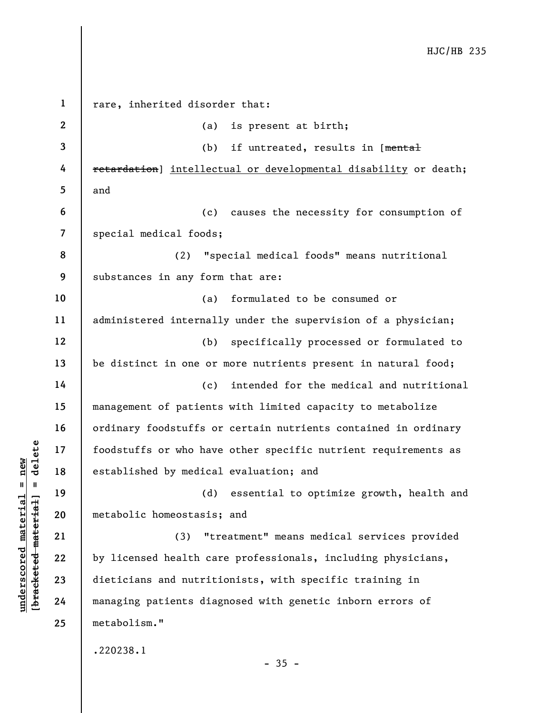underscore material material established by medica<br>
established by medica<br>
established by medica<br>
(d)<br>
established by medica<br>
(d)<br>
established by medica<br>
(d)<br>
metabolic homeostasis<br>
(3) "t<br>
(3) "t<br>
by licensed health ca<br>
d 1 2 3 4 5 6 7 8 9 10 11 12 13 14 15 16 17 18 19 20 21 22 23 24 25 rare, inherited disorder that: (a) is present at birth; (b) if untreated, results in [mental retardation] intellectual or developmental disability or death; and (c) causes the necessity for consumption of special medical foods; (2) "special medical foods" means nutritional substances in any form that are: (a) formulated to be consumed or administered internally under the supervision of a physician; (b) specifically processed or formulated to be distinct in one or more nutrients present in natural food; (c) intended for the medical and nutritional management of patients with limited capacity to metabolize ordinary foodstuffs or certain nutrients contained in ordinary foodstuffs or who have other specific nutrient requirements as established by medical evaluation; and (d) essential to optimize growth, health and metabolic homeostasis; and (3) "treatment" means medical services provided by licensed health care professionals, including physicians, dieticians and nutritionists, with specific training in managing patients diagnosed with genetic inborn errors of metabolism." .220238.1

 $-35 -$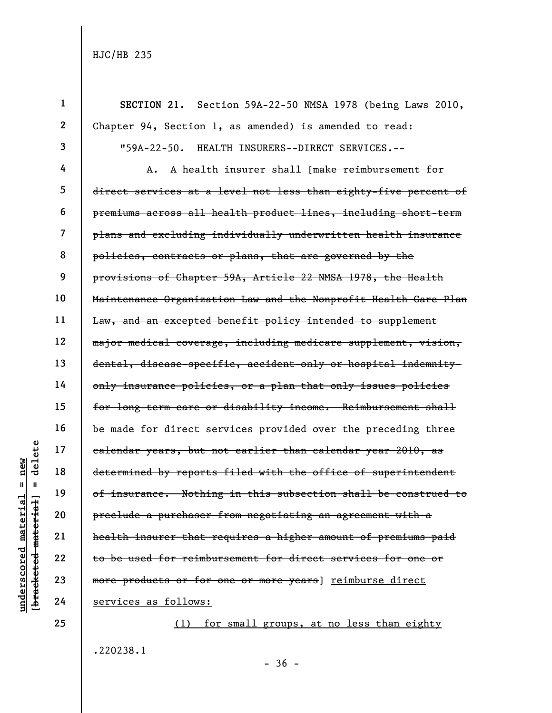|                         |                      | $\mathbf{1}$ | Section 59A-22-50 NMSA 1978 (being Laws 2010,<br>SECTION 21.    |
|-------------------------|----------------------|--------------|-----------------------------------------------------------------|
|                         |                      | $\mathbf{2}$ | Chapter 94, Section 1, as amended) is amended to read:          |
|                         |                      | 3            | $"59A-22-50.$<br>HEALTH INSURERS--DIRECT SERVICES.--            |
|                         |                      | 4            | A health insurer shall [make reimbursement for<br>Α.            |
|                         |                      | 5            | direct services at a level not less than eighty-five percent of |
|                         |                      | 6            | premiums across all health product lines, including short-term  |
|                         |                      | 7            | plans and excluding individually underwritten health insurance  |
|                         |                      | 8            | policies, contracts or plans, that are governed by the          |
|                         |                      | 9            | provisions of Chapter 59A, Article 22 NMSA 1978, the Health     |
|                         |                      | 10           | Maintenance Organization Law and the Nonprofit Health Care Plan |
|                         |                      | 11           | Law, and an excepted benefit policy intended to supplement      |
|                         |                      | 12           | major medical coverage, including medicare supplement, vision,  |
|                         |                      | 13           | dental, disease-specific, accident-only or hospital indemnity-  |
|                         |                      | 14           | only insurance policies, or a plan that only issues policies    |
|                         |                      | 15           | for long-term care or disability income. Reimbursement shall    |
|                         |                      | 16           | be made for direct services provided over the preceding three   |
|                         | ete                  | 17           | calendar years, but not earlier than calendar year 2010, as     |
| $n$ ew                  | $\overline{d}$       | 18           | determined by reports filed with the office of superintendent   |
| Ш                       | - 11                 | 19           | of insurance. Nothing in this subsection shall be construed to  |
| material                |                      | 20           | preclude a purchaser from negotiating an agreement with a       |
|                         | [bracketed-material] | 21           | health insurer that requires a higher amount of premiums paid   |
|                         |                      | 22           | to be used for reimbursement for direct services for one or     |
| $\bm{{\rm underscore}}$ |                      | 23           | more products or for one or more years) reimburse direct        |
|                         |                      | 24           | services as follows:                                            |
|                         |                      | 25           | for small groups, at no less than eighty<br>(1)                 |
|                         |                      |              |                                                                 |

.220238.1

- 36 -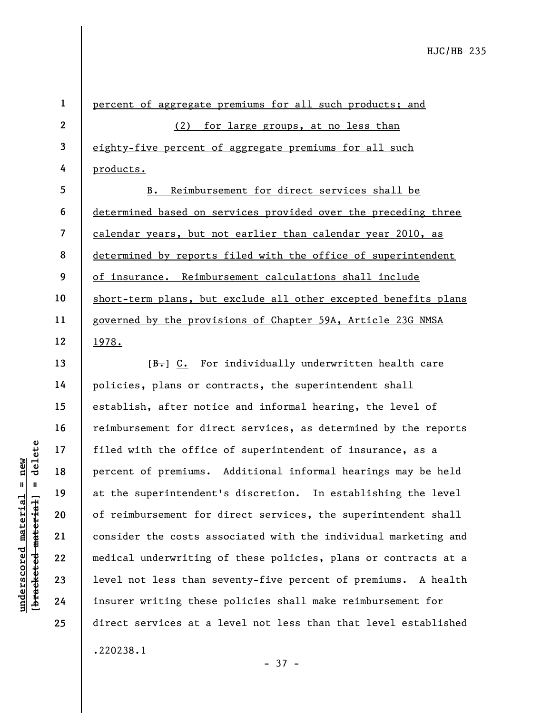1 2 3 4 5 6 7 8 9 10 11 12 percent of aggregate premiums for all such products; and (2) for large groups, at no less than eighty-five percent of aggregate premiums for all such products. B. Reimbursement for direct services shall be determined based on services provided over the preceding three calendar years, but not earlier than calendar year 2010, as determined by reports filed with the office of superintendent of insurance. Reimbursement calculations shall include short-term plans, but exclude all other excepted benefits plans governed by the provisions of Chapter 59A, Article 23G NMSA 1978.

under 17<br>
= 18<br>
= 18<br>
= 19<br>
= 19<br>
= 19<br>
= 19<br>
= 19<br>
= 19<br>
= 19<br>
= 19<br>
= 19<br>
= 19<br>
of reimbursement for<br>
consider the costs as<br>
= 22<br>
= 19<br>
= 19<br>
= 19<br>
= 19<br>
= 19<br>
= 19<br>
= 19<br>
= 19<br>
= 19<br>
= 19<br>
= 19<br>
= 19<br>
= 19<br>
= 19<br>
= 19<br> [B.] C. For individually underwritten health care policies, plans or contracts, the superintendent shall establish, after notice and informal hearing, the level of reimbursement for direct services, as determined by the reports filed with the office of superintendent of insurance, as a percent of premiums. Additional informal hearings may be held at the superintendent's discretion. In establishing the level of reimbursement for direct services, the superintendent shall consider the costs associated with the individual marketing and medical underwriting of these policies, plans or contracts at a level not less than seventy-five percent of premiums. A health insurer writing these policies shall make reimbursement for direct services at a level not less than that level established .220238.1

- 37 -

13

14

15

16

17

18

19

20

21

22

23

24

25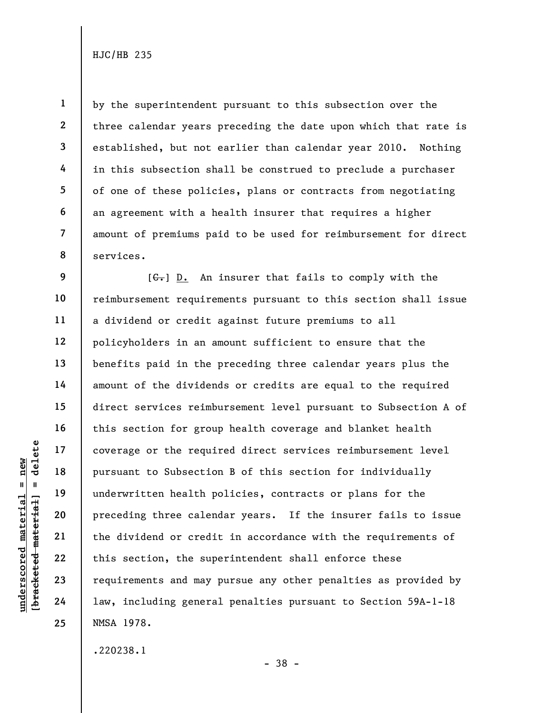1

underscored material = new [bracketed material] = delete 14 15 16 17 18 19 20 21 22 23 24 25 amount of premiums paid to be used for reimbursement for direct services.  $[G<sub>r</sub>]$  D. An insurer that fails to comply with the reimbursement requirements pursuant to this section shall issue a dividend or credit against future premiums to all policyholders in an amount sufficient to ensure that the benefits paid in the preceding three calendar years plus the amount of the dividends or credits are equal to the required direct services reimbursement level pursuant to Subsection A of this section for group health coverage and blanket health coverage or the required direct services reimbursement level pursuant to Subsection B of this section for individually underwritten health policies, contracts or plans for the preceding three calendar years. If the insurer fails to issue the dividend or credit in accordance with the requirements of this section, the superintendent shall enforce these requirements and may pursue any other penalties as provided by law, including general penalties pursuant to Section 59A-1-18 NMSA 1978.

by the superintendent pursuant to this subsection over the

three calendar years preceding the date upon which that rate is

established, but not earlier than calendar year 2010. Nothing

in this subsection shall be construed to preclude a purchaser

of one of these policies, plans or contracts from negotiating

an agreement with a health insurer that requires a higher

.220238.1

- 38 -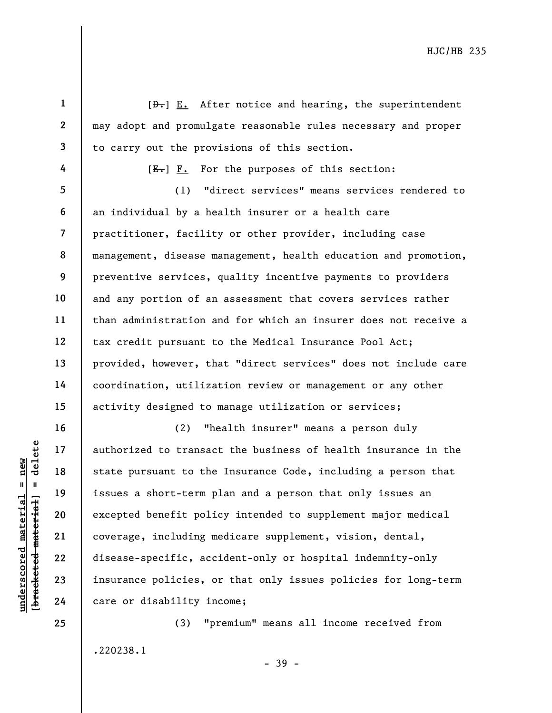|                                                | $\mathbf{1}$            | $[\frac{b}{c}, \frac{c}{c}]$ after notice and hearing, the superintendent |
|------------------------------------------------|-------------------------|---------------------------------------------------------------------------|
|                                                | $\mathbf{2}$            | may adopt and promulgate reasonable rules necessary and proper            |
|                                                | 3                       | to carry out the provisions of this section.                              |
|                                                | 4                       | $[E-]$ $F.$ For the purposes of this section:                             |
|                                                | 5                       | "direct services" means services rendered to<br>(1)                       |
|                                                | 6                       | an individual by a health insurer or a health care                        |
|                                                | $\overline{\mathbf{z}}$ | practitioner, facility or other provider, including case                  |
|                                                | 8                       | management, disease management, health education and promotion,           |
|                                                | 9                       | preventive services, quality incentive payments to providers              |
|                                                | 10                      | and any portion of an assessment that covers services rather              |
|                                                | 11                      | than administration and for which an insurer does not receive a           |
|                                                | 12                      | tax credit pursuant to the Medical Insurance Pool Act;                    |
|                                                | 13                      | provided, however, that "direct services" does not include care           |
|                                                | 14                      | coordination, utilization review or management or any other               |
|                                                | 15                      | activity designed to manage utilization or services;                      |
|                                                | 16                      | "health insurer" means a person duly<br>(2)                               |
|                                                | delete<br>17            | authorized to transact the business of health insurance in the            |
| new                                            | 18                      | state pursuant to the Insurance Code, including a person that             |
| II                                             | 19                      | issues a short-term plan and a person that only issues an                 |
| materia                                        | 20                      | excepted benefit policy intended to supplement major medical              |
|                                                | 21                      | coverage, including medicare supplement, vision, dental,                  |
| [ <del>bracketed material</del><br>underscored | 22                      | disease-specific, accident-only or hospital indemnity-only                |
|                                                | 23                      | insurance policies, or that only issues policies for long-term            |
|                                                | 24                      | care or disability income;                                                |
|                                                | 25                      | "premium" means all income received from<br>(3)                           |

.220238.1

- 39 -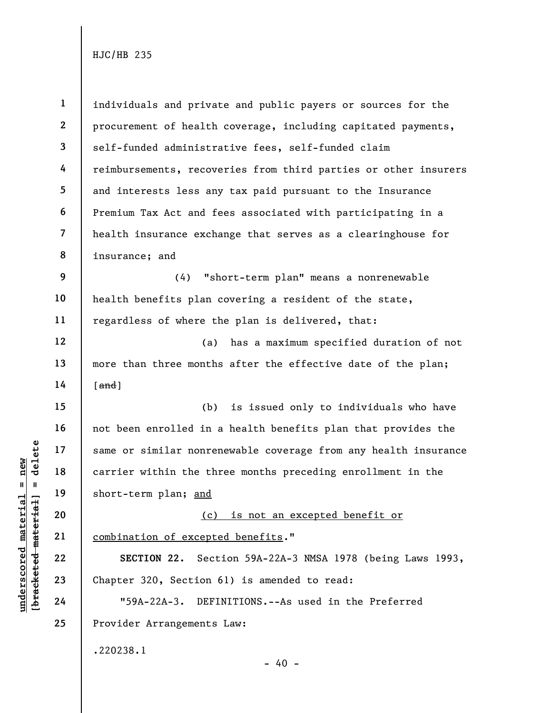|                                                            | $\mathbf{1}$             | individuals and private and public payers or sources for the    |
|------------------------------------------------------------|--------------------------|-----------------------------------------------------------------|
|                                                            | $\mathbf{2}$             | procurement of health coverage, including capitated payments,   |
|                                                            | $\mathbf{3}$             | self-funded administrative fees, self-funded claim              |
|                                                            | 4                        | reimbursements, recoveries from third parties or other insurers |
|                                                            | 5                        | and interests less any tax paid pursuant to the Insurance       |
|                                                            | 6                        | Premium Tax Act and fees associated with participating in a     |
|                                                            | $\overline{\mathcal{L}}$ | health insurance exchange that serves as a clearinghouse for    |
|                                                            | 8                        | insurance; and                                                  |
|                                                            | 9                        | "short-term plan" means a nonrenewable<br>(4)                   |
|                                                            | 10                       | health benefits plan covering a resident of the state,          |
|                                                            | 11                       | regardless of where the plan is delivered, that:                |
|                                                            | 12                       | has a maximum specified duration of not<br>(a)                  |
|                                                            | 13                       | more than three months after the effective date of the plan;    |
|                                                            | 14                       | $[$ and $]$                                                     |
|                                                            | 15                       | (b)<br>is issued only to individuals who have                   |
|                                                            | 16                       | not been enrolled in a health benefits plan that provides the   |
| delete                                                     | 17                       | same or similar nonrenewable coverage from any health insurance |
| new                                                        | 18                       | carrier within the three months preceding enrollment in the     |
| $\mathsf{II}$                                              | 19                       | short-term plan; and                                            |
| material                                                   | 20                       | (c) is not an excepted benefit or                               |
|                                                            | 21                       | combination of excepted benefits."                              |
|                                                            | 22                       | Section 59A-22A-3 NMSA 1978 (being Laws 1993,<br>SECTION 22.    |
| underscored materia<br>[ <del>brack</del> ete <del>d</del> | 23                       | Chapter 320, Section 61) is amended to read:                    |
|                                                            | 24                       | $"59A-22A-3.$<br>DEFINITIONS.--As used in the Preferred         |
|                                                            | 25                       | Provider Arrangements Law:                                      |
|                                                            |                          | .220238.1                                                       |
|                                                            |                          | $-40 -$                                                         |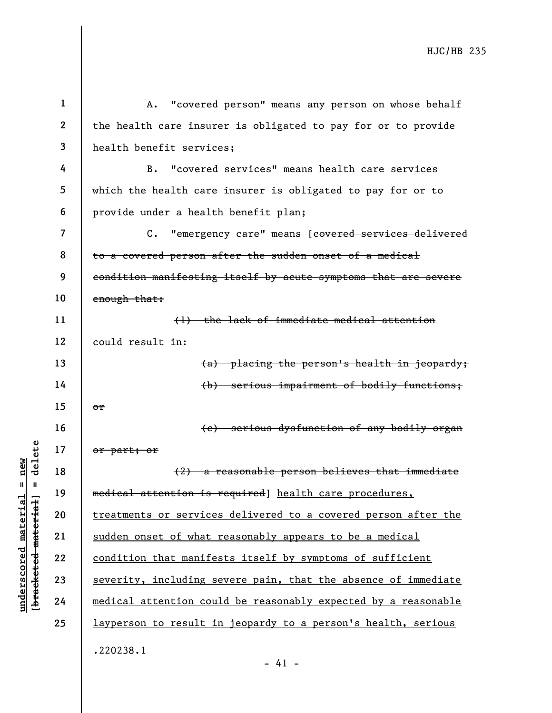underscored material = new [bracketed material] = delete 1 2 3 4 5 6 7 8 9 10 11 12 13 14 15 16 17 18 19 20 21 22 23 24 25 A. "covered person" means any person on whose behalf the health care insurer is obligated to pay for or to provide health benefit services; B. "covered services" means health care services which the health care insurer is obligated to pay for or to provide under a health benefit plan; C. "emergency care" means [covered services delivered to a covered person after the sudden onset of a medical condition manifesting itself by acute symptoms that are severe enough that: (1) the lack of immediate medical attention could result in: (a) placing the person's health in jeopardy; (b) serious impairment of bodily functions; or (c) serious dysfunction of any bodily organ or part; or (2) a reasonable person believes that immediate medical attention is required] health care procedures, treatments or services delivered to a covered person after the sudden onset of what reasonably appears to be a medical condition that manifests itself by symptoms of sufficient severity, including severe pain, that the absence of immediate medical attention could be reasonably expected by a reasonable layperson to result in jeopardy to a person's health, serious .220238.1

- 41 -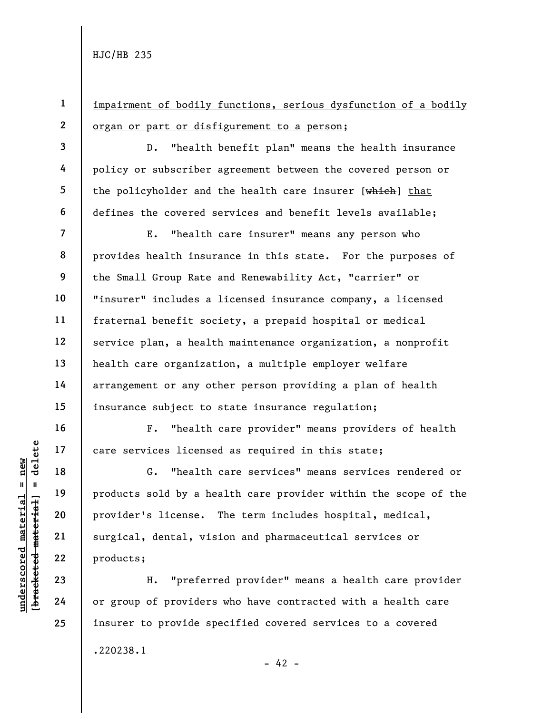1

3

4

5

6

16

17

18

19

20

21

22

23

24

25

2 impairment of bodily functions, serious dysfunction of a bodily organ or part or disfigurement to a person;

D. "health benefit plan" means the health insurance policy or subscriber agreement between the covered person or the policyholder and the health care insurer [which] that defines the covered services and benefit levels available;

7 8 9 10 11 12 13 14 15 E. "health care insurer" means any person who provides health insurance in this state. For the purposes of the Small Group Rate and Renewability Act, "carrier" or "insurer" includes a licensed insurance company, a licensed fraternal benefit society, a prepaid hospital or medical service plan, a health maintenance organization, a nonprofit health care organization, a multiple employer welfare arrangement or any other person providing a plan of health insurance subject to state insurance regulation;

F. "health care provider" means providers of health care services licensed as required in this state;

understand material care services license<br>  $\begin{array}{c|c|c|c} \hline \text{u} & \text{u} & \text{u} & \text{u} \\ \hline \text{u} & \text{u} & \text{u} & \text{u} & \text{u} \\ \hline \text{u} & \text{u} & \text{u} & \text{u} & \text{u} \\ \hline \text{u} & \text{u} & \text{u} & \text{u} & \text{u} \end{array}$  and the products sold by a he<br>
pr G. "health care services" means services rendered or products sold by a health care provider within the scope of the provider's license. The term includes hospital, medical, surgical, dental, vision and pharmaceutical services or products;

H. "preferred provider" means a health care provider or group of providers who have contracted with a health care insurer to provide specified covered services to a covered .220238.1  $- 42 -$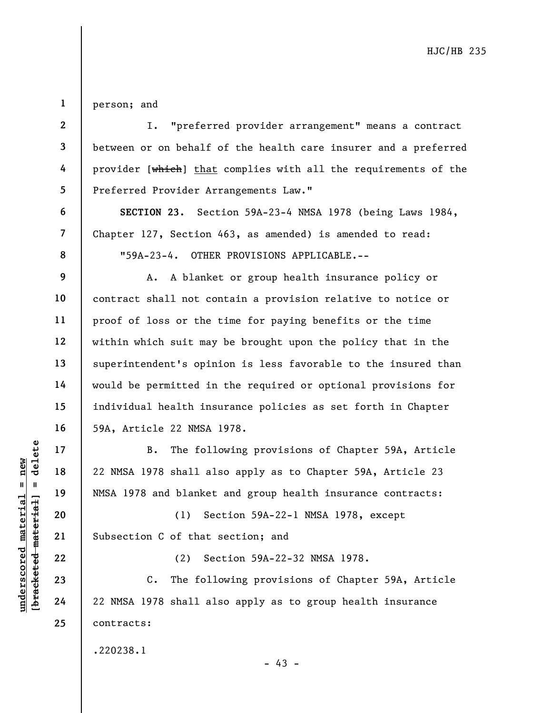1 person; and

2

3

4

5

6

7

8

9

10

11

12

13

14

15

16

17

18

19

20

21

22

23

24

25

I. "preferred provider arrangement" means a contract between or on behalf of the health care insurer and a preferred provider [which] that complies with all the requirements of the Preferred Provider Arrangements Law."

SECTION 23. Section 59A-23-4 NMSA 1978 (being Laws 1984, Chapter 127, Section 463, as amended) is amended to read: "59A-23-4. OTHER PROVISIONS APPLICABLE.--

A. A blanket or group health insurance policy or contract shall not contain a provision relative to notice or proof of loss or the time for paying benefits or the time within which suit may be brought upon the policy that in the superintendent's opinion is less favorable to the insured than would be permitted in the required or optional provisions for individual health insurance policies as set forth in Chapter 59A, Article 22 NMSA 1978.

underscored material = new [bracketed material] = delete B. The following provisions of Chapter 59A, Article 22 NMSA 1978 shall also apply as to Chapter 59A, Article 23 NMSA 1978 and blanket and group health insurance contracts:

(1) Section 59A-22-1 NMSA 1978, except Subsection C of that section; and

(2) Section 59A-22-32 NMSA 1978.

C. The following provisions of Chapter 59A, Article 22 NMSA 1978 shall also apply as to group health insurance contracts:

.220238.1

- 43 -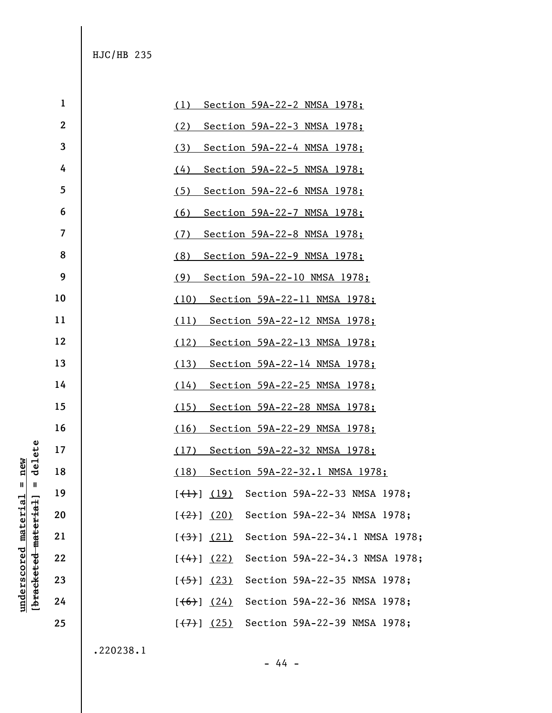|                      |              | $\mathbf{1}$     | (1)<br>Section 59A-22-2 NMSA 1978;                                              |
|----------------------|--------------|------------------|---------------------------------------------------------------------------------|
|                      |              | $\boldsymbol{2}$ | (2)<br>Section 59A-22-3 NMSA 1978;                                              |
|                      |              | 3                | (3)<br>Section 59A-22-4 NMSA 1978;                                              |
|                      |              | 4                | (4)<br>Section 59A-22-5 NMSA 1978;                                              |
|                      |              | 5                | (5)<br>Section 59A-22-6 NMSA 1978;                                              |
|                      |              | 6                | (6)<br>Section 59A-22-7 NMSA 1978;                                              |
|                      |              | 7                | (7)<br>Section 59A-22-8 NMSA 1978;                                              |
|                      |              | 8                | (8)<br>Section 59A-22-9 NMSA 1978;                                              |
|                      |              | 9                | (9)<br>Section 59A-22-10 NMSA 1978;                                             |
|                      |              | 10               | (10)<br>Section 59A-22-11 NMSA 1978;                                            |
|                      |              | 11               | (11)<br>Section 59A-22-12 NMSA 1978;                                            |
|                      |              | 12               | (12)<br>Section 59A-22-13 NMSA 1978;                                            |
|                      |              | 13               | (13)<br>Section 59A-22-14 NMSA 1978;                                            |
|                      |              | 14               | (14)<br>Section 59A-22-25 NMSA 1978;                                            |
|                      |              | 15               | (15)<br>Section 59A-22-28 NMSA 1978;                                            |
|                      |              | 16               | (16)<br>Section 59A-22-29 NMSA 1978;                                            |
|                      | delete       | 17               | (17)<br>Section 59A-22-32 NMSA 1978;                                            |
| new                  |              | 18               | (18)<br>Section 59A-22-32.1 NMSA 1978;                                          |
| $\mathbf{I}$<br>$-1$ | $\mathbf{I}$ | 19               | (19)<br>Section 59A-22-33 NMSA 1978;<br>$[\left(\downarrow \downarrow \right)]$ |
|                      |              | 20               | Section 59A-22-34 NMSA 1978;<br>$[\frac{(2)}{2}]$ (20)                          |
|                      | material     | 21               | Section 59A-22-34.1 NMSA 1978;<br>[ (3) (21)                                    |
| underscored materia  |              | 22               | Section 59A-22-34.3 NMSA 1978;<br>$[$ (4) $]$ (22)                              |
|                      | [bracketed   | 23               | Section 59A-22-35 NMSA 1978;<br>$[\frac{(-5)}{2}]$ (23)                         |
|                      |              | 24               | Section 59A-22-36 NMSA 1978;<br>[ (6) ] (24)                                    |
|                      |              | 25               | Section 59A-22-39 NMSA 1978;<br>$[\left(7\right)]$ (25)                         |
|                      |              |                  |                                                                                 |

.220238.1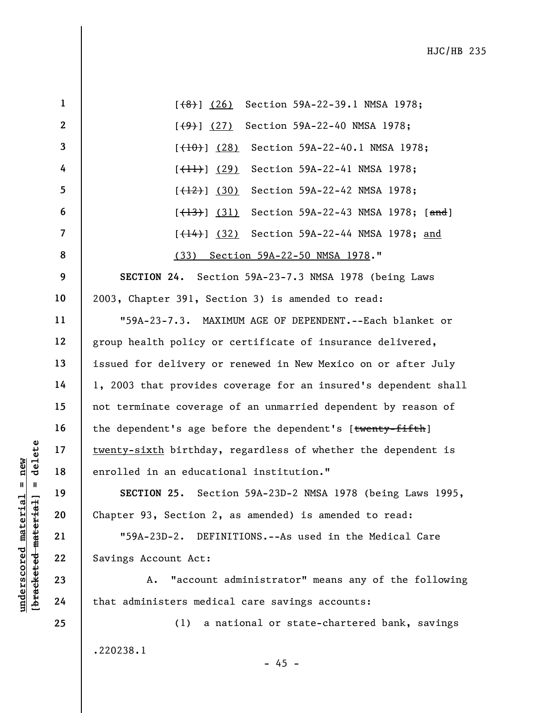|                                       | $\mathbf{1}$            | Section 59A-22-39.1 NMSA 1978;<br>[ (8) ] (26)                  |
|---------------------------------------|-------------------------|-----------------------------------------------------------------|
|                                       | $\mathbf{2}$            | Section 59A-22-40 NMSA 1978;<br>$[\frac{(9)}{2}]$ $(27)$        |
|                                       | $\overline{\mathbf{3}}$ | Section 59A-22-40.1 NMSA 1978;<br>$[$ (10) $]$ (28)             |
|                                       | 4                       | Section 59A-22-41 NMSA 1978;<br>$[\frac{(+1)}{+1}]$ (29)        |
|                                       | $5\phantom{.0}$         | Section 59A-22-42 NMSA 1978;<br>$[\frac{(12)}{(12)}]$ (30)      |
|                                       | 6                       | Section 59A-22-43 NMSA 1978; [and]<br>$[$ (13) $]$ (31)         |
|                                       | $\overline{7}$          | Section 59A-22-44 NMSA 1978; and<br>[ <del>(14)</del> ] (32)    |
|                                       | 8                       | (33) Section 59A-22-50 NMSA 1978."                              |
|                                       | 9                       | SECTION 24. Section 59A-23-7.3 NMSA 1978 (being Laws            |
|                                       | 10                      | 2003, Chapter 391, Section 3) is amended to read:               |
|                                       | 11                      | "59A-23-7.3. MAXIMUM AGE OF DEPENDENT.--Each blanket or         |
|                                       | 12                      | group health policy or certificate of insurance delivered,      |
|                                       | 13                      | issued for delivery or renewed in New Mexico on or after July   |
|                                       | 14                      | 1, 2003 that provides coverage for an insured's dependent shall |
|                                       | 15                      | not terminate coverage of an unmarried dependent by reason of   |
|                                       | 16                      | the dependent's age before the dependent's [twenty-fifth]       |
| delete                                | 17                      | twenty-sixth birthday, regardless of whether the dependent is   |
| new                                   | 18                      | enrolled in an educational institution."                        |
| Ш                                     | 19                      | Section 59A-23D-2 NMSA 1978 (being Laws 1995,<br>SECTION 25.    |
| materia<br>material                   | 20                      | Chapter 93, Section 2, as amended) is amended to read:          |
|                                       | 21                      | $"59A-23D-2.$<br>DEFINITIONS.--As used in the Medical Care      |
|                                       | 22                      | Savings Account Act:                                            |
|                                       | 23                      | "account administrator" means any of the following<br>Α.        |
| underscored<br>[b <del>racketed</del> | 24                      | that administers medical care savings accounts:                 |
|                                       | 25                      | a national or state-chartered bank, savings<br>(1)              |

.220238.1

- 45 -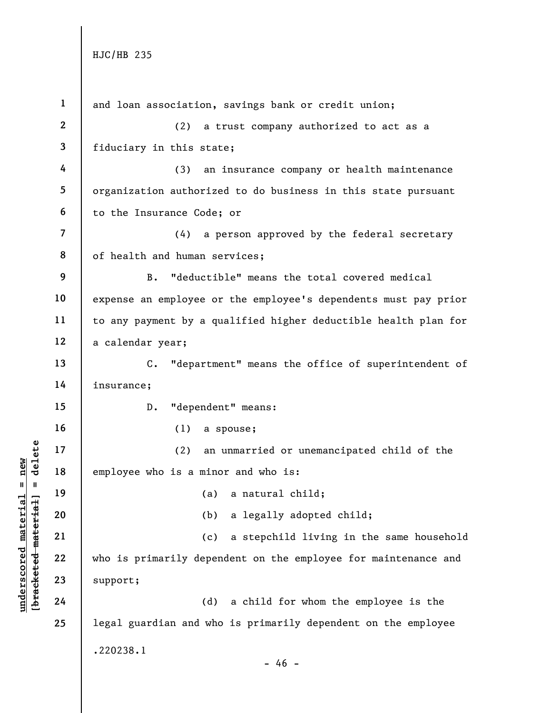|                                    | $\mathbf{1}$             | and loan association, savings bank or credit union;             |
|------------------------------------|--------------------------|-----------------------------------------------------------------|
|                                    | $\mathbf{2}$             | a trust company authorized to act as a<br>(2)                   |
|                                    | $\mathbf{3}$             | fiduciary in this state;                                        |
|                                    | 4                        | an insurance company or health maintenance<br>(3)               |
|                                    | 5                        | organization authorized to do business in this state pursuant   |
|                                    | 6                        | to the Insurance Code; or                                       |
|                                    | $\overline{\mathcal{L}}$ | a person approved by the federal secretary<br>(4)               |
|                                    | 8                        | of health and human services;                                   |
|                                    | 9                        | "deductible" means the total covered medical<br>$B$ .           |
|                                    | 10                       | expense an employee or the employee's dependents must pay prior |
|                                    | 11                       | to any payment by a qualified higher deductible health plan for |
|                                    | 12                       | a calendar year;                                                |
|                                    | 13                       | "department" means the office of superintendent of<br>$C$ .     |
|                                    | 14                       | insurance;                                                      |
|                                    | 15                       | "dependent" means:<br>$D$ .                                     |
|                                    | 16                       | (1)<br>a spouse;                                                |
| delete                             | 17                       | (2)<br>an unmarried or unemancipated child of the               |
| new                                | 18                       | employee who is a minor and who is:                             |
| Ш.<br>- 11                         | 19                       | (a) a natural child;                                            |
| $\mathtt{materia}$                 | 20                       | a legally adopted child;<br>(b)                                 |
|                                    | 21                       | a stepchild living in the same household<br>(c)                 |
|                                    | 22                       | who is primarily dependent on the employee for maintenance and  |
| [bracketed material<br>underscored | 23                       | support;                                                        |
|                                    | 24                       | (d)<br>a child for whom the employee is the                     |
|                                    | 25                       | legal guardian and who is primarily dependent on the employee   |
|                                    |                          | .220238.1                                                       |
|                                    |                          | $-46 -$                                                         |
|                                    |                          |                                                                 |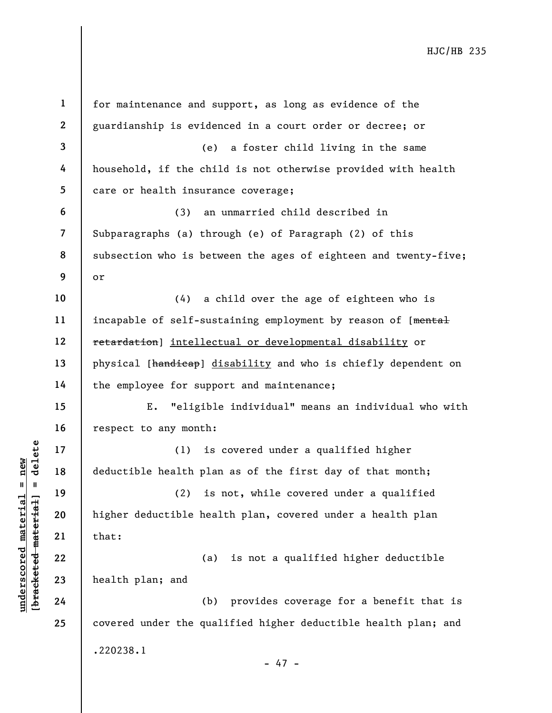|                                                                     | $\mathbf{1}$             | for maintenance and support, as long as evidence of the         |
|---------------------------------------------------------------------|--------------------------|-----------------------------------------------------------------|
|                                                                     | $\mathbf{2}$             | guardianship is evidenced in a court order or decree; or        |
|                                                                     | $\overline{\mathbf{3}}$  | (e)<br>a foster child living in the same                        |
|                                                                     | 4                        | household, if the child is not otherwise provided with health   |
|                                                                     | 5                        | care or health insurance coverage;                              |
|                                                                     | 6                        | an unmarried child described in<br>(3)                          |
|                                                                     | $\overline{\mathcal{L}}$ | Subparagraphs (a) through (e) of Paragraph (2) of this          |
|                                                                     | 8                        | subsection who is between the ages of eighteen and twenty-five; |
|                                                                     | 9                        | or                                                              |
|                                                                     | 10                       | (4)<br>a child over the age of eighteen who is                  |
|                                                                     | 11                       | incapable of self-sustaining employment by reason of [mental    |
|                                                                     | 12                       | retardation] intellectual or developmental disability or        |
|                                                                     | 13                       | physical [handicap] disability and who is chiefly dependent on  |
|                                                                     | 14                       | the employee for support and maintenance;                       |
|                                                                     | 15                       | "eligible individual" means an individual who with<br>Ε.        |
|                                                                     | 16                       | respect to any month:                                           |
| delete                                                              | 17                       | is covered under a qualified higher<br>(1)                      |
| new                                                                 | 18                       | deductible health plan as of the first day of that month;       |
| $\pmb{\mathsf{II}}$<br>- II                                         | 19                       | (2)<br>is not, while covered under a qualified                  |
| underscored materia<br>[ <del>brack</del> ete <del>d material</del> | 20                       | higher deductible health plan, covered under a health plan      |
|                                                                     | 21                       | that:                                                           |
|                                                                     | 22                       | is not a qualified higher deductible<br>(a)                     |
|                                                                     | 23                       | health plan; and                                                |
|                                                                     | 24                       | provides coverage for a benefit that is<br>(b)                  |
|                                                                     | 25                       | covered under the qualified higher deductible health plan; and  |
|                                                                     |                          | .220238.1                                                       |
|                                                                     |                          | $-47 -$                                                         |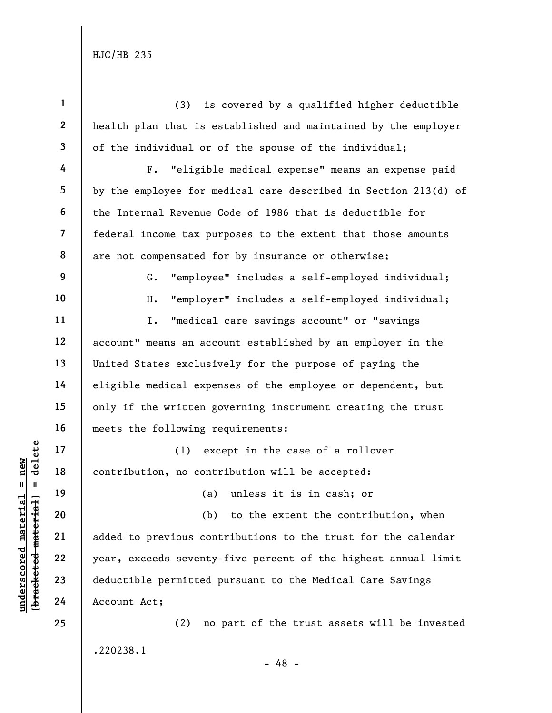|                      | $\mathbf{1}$   | (3)<br>is covered by a qualified higher deductible              |
|----------------------|----------------|-----------------------------------------------------------------|
|                      | $\mathbf{2}$   | health plan that is established and maintained by the employer  |
|                      | 3              | of the individual or of the spouse of the individual;           |
|                      | 4              | "eligible medical expense" means an expense paid<br>$F$ .       |
|                      | 5              | by the employee for medical care described in Section 213(d) of |
|                      | 6              | the Internal Revenue Code of 1986 that is deductible for        |
|                      | $\overline{7}$ | federal income tax purposes to the extent that those amounts    |
|                      | 8              | are not compensated for by insurance or otherwise;              |
|                      | 9              | "employee" includes a self-employed individual;<br>G.           |
|                      | 10             | "employer" includes a self-employed individual;<br>Η.           |
|                      | 11             | "medical care savings account" or "savings<br>I.                |
|                      | 12             | account" means an account established by an employer in the     |
|                      | 13             | United States exclusively for the purpose of paying the         |
|                      | 14             | eligible medical expenses of the employee or dependent, but     |
|                      | 15             | only if the written governing instrument creating the trust     |
|                      | 16             | meets the following requirements:                               |
| delete               | $17$           | except in the case of a rollover<br>(1)                         |
| new                  | 18             | contribution, no contribution will be accepted:                 |
| Ш<br>H               | 19             | (a) unless it is in cash; or                                    |
| [bracketed material  | 20             | to the extent the contribution, when<br>(b)                     |
|                      | 21             | added to previous contributions to the trust for the calendar   |
|                      | 22             | year, exceeds seventy-five percent of the highest annual limit  |
| underscored material | 23             | deductible permitted pursuant to the Medical Care Savings       |
|                      | 24             | Account Act;                                                    |
|                      | 25             | no part of the trust assets will be invested<br>(2)             |
|                      |                | .220238.1                                                       |
|                      |                | - 48 -                                                          |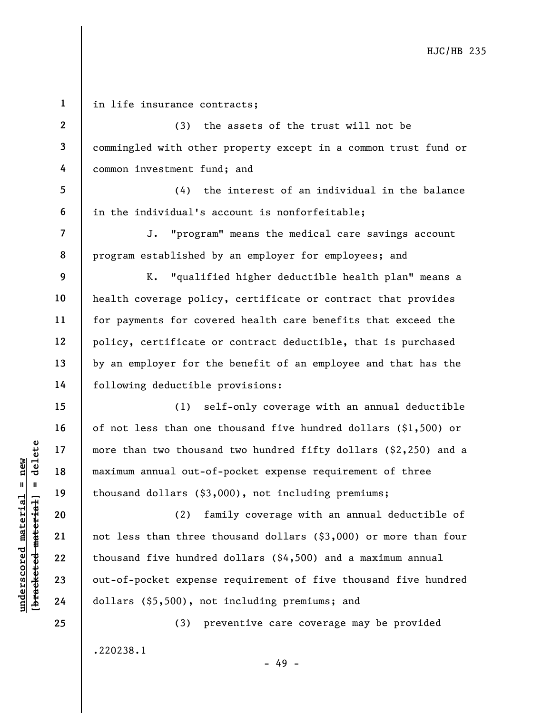underscore material material material material material material material material material dollars (\$3, and the material material control of thousand dollars (\$3, and the material control of thousand five hundred control 1 2 3 4 5 6 7 8 9 10 11 12 13 14 15 16 17 18 19 20 21 22 in life insurance contracts; (3) the assets of the trust will not be commingled with other property except in a common trust fund or common investment fund; and (4) the interest of an individual in the balance in the individual's account is nonforfeitable; J. "program" means the medical care savings account program established by an employer for employees; and K. "qualified higher deductible health plan" means a health coverage policy, certificate or contract that provides for payments for covered health care benefits that exceed the policy, certificate or contract deductible, that is purchased by an employer for the benefit of an employee and that has the following deductible provisions: (1) self-only coverage with an annual deductible of not less than one thousand five hundred dollars (\$1,500) or more than two thousand two hundred fifty dollars (\$2,250) and a maximum annual out-of-pocket expense requirement of three thousand dollars (\$3,000), not including premiums; (2) family coverage with an annual deductible of not less than three thousand dollars (\$3,000) or more than four thousand five hundred dollars (\$4,500) and a maximum annual

out-of-pocket expense requirement of five thousand five hundred dollars (\$5,500), not including premiums; and

- 49 -

(3) preventive care coverage may be provided .220238.1

25

23

24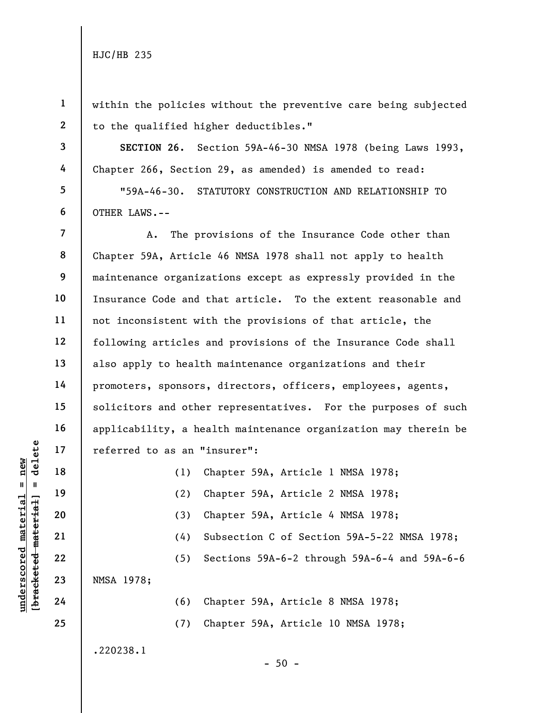3

4

5

6

1 2 within the policies without the preventive care being subjected to the qualified higher deductibles."

SECTION 26. Section 59A-46-30 NMSA 1978 (being Laws 1993, Chapter 266, Section 29, as amended) is amended to read:

"59A-46-30. STATUTORY CONSTRUCTION AND RELATIONSHIP TO OTHER LAWS.--

7 8 9 10 11 12 13 14 15 16 17 A. The provisions of the Insurance Code other than Chapter 59A, Article 46 NMSA 1978 shall not apply to health maintenance organizations except as expressly provided in the Insurance Code and that article. To the extent reasonable and not inconsistent with the provisions of that article, the following articles and provisions of the Insurance Code shall also apply to health maintenance organizations and their promoters, sponsors, directors, officers, employees, agents, solicitors and other representatives. For the purposes of such applicability, a health maintenance organization may therein be referred to as an "insurer":

| delete                                       | 17 | referred to as an "insurer":                        |  |
|----------------------------------------------|----|-----------------------------------------------------|--|
| new<br>$\mathbf{II}$<br>$\mathtt{materidal}$ | 18 | Chapter 59A, Article 1 NMSA 1978;<br>(1)            |  |
|                                              | 19 | Chapter 59A, Article 2 NMSA 1978;<br>(2)            |  |
|                                              | 20 | Chapter 59A, Article 4 NMSA 1978;<br>(3)            |  |
|                                              | 21 | Subsection C of Section 59A-5-22 NMSA 1978;<br>(4)  |  |
|                                              | 22 | Sections 59A-6-2 through 59A-6-4 and 59A-6-6<br>(5) |  |
|                                              | 23 | NMSA 1978;                                          |  |
| <u>underscored</u><br>혼                      | 24 | Chapter 59A, Article 8 NMSA 1978;<br>(6)            |  |
|                                              | 25 | Chapter 59A, Article 10 NMSA 1978;<br>(7)           |  |

- 50 -

.220238.1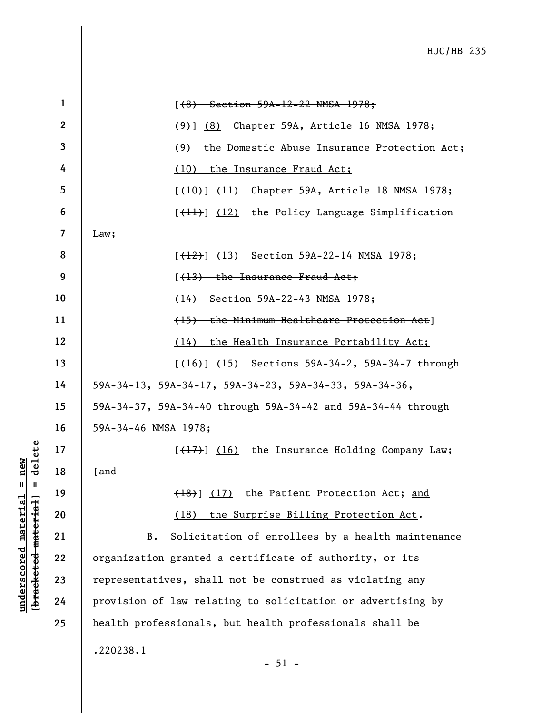|                     | $\mathbf{1}$            | $(6)$ Section 59A-12-22 NMSA 1978;                           |
|---------------------|-------------------------|--------------------------------------------------------------|
|                     | $\boldsymbol{2}$        | (9) (8) Chapter 59A, Article 16 NMSA 1978;                   |
|                     | 3                       | the Domestic Abuse Insurance Protection Act;<br>(9)          |
|                     | 4                       | the Insurance Fraud Act;<br>(10)                             |
|                     | 5                       | [ <del>(10)</del> ] (11) Chapter 59A, Article 18 NMSA 1978;  |
|                     | 6                       | [(11)] (12) the Policy Language Simplification               |
|                     | $\overline{\mathbf{z}}$ | Law;                                                         |
|                     | 8                       | [ <del>(12)</del> ] (13) Section 59A-22-14 NMSA 1978;        |
|                     | 9                       | $(13)$ the Insurance Fraud Act;                              |
|                     | 10                      | (14) Section 59A-22-43 NMSA 1978;                            |
|                     | 11                      | (15) the Minimum Healthcare Protection Act]                  |
|                     | 12                      | the Health Insurance Portability Act;<br>(14)                |
|                     | 13                      | [ <del>(16)</del> ] (15) Sections 59A-34-2, 59A-34-7 through |
|                     | 14                      | 59A-34-13, 59A-34-17, 59A-34-23, 59A-34-33, 59A-34-36,       |
|                     | 15                      | 59A-34-37, 59A-34-40 through 59A-34-42 and 59A-34-44 through |
|                     | 16                      | 59A-34-46 NMSA 1978;                                         |
| delete              | 17                      | $[\frac{17}{16}]$ (16) the Insurance Holding Company Law;    |
| new                 | 18                      | [ $\frac{and}{end}$                                          |
| Ш<br>- 11           | 19                      | (18) (17) the Patient Protection Act; and                    |
| materia             | 20                      | the Surprise Billing Protection Act.<br>(18)                 |
| [bracketed material | 21                      | Solicitation of enrollees by a health maintenance<br>B.      |
| underscored         | 22                      | organization granted a certificate of authority, or its      |
|                     | 23                      | representatives, shall not be construed as violating any     |
|                     | 24                      | provision of law relating to solicitation or advertising by  |
|                     | 25                      | health professionals, but health professionals shall be      |
|                     |                         | .220238.1<br>$-51 -$                                         |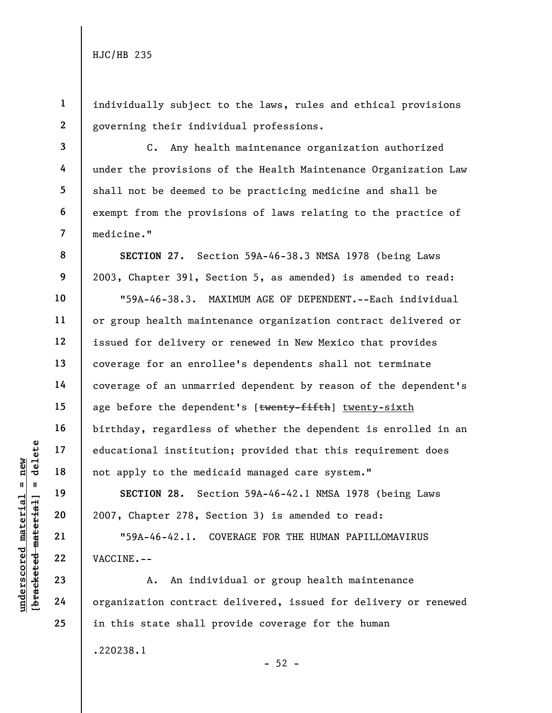1

2

3

4

5

6

7

8

9

10

11

12

13

14

15

16

17

18

19

20

21

22

23

24

25

individually subject to the laws, rules and ethical provisions governing their individual professions.

C. Any health maintenance organization authorized under the provisions of the Health Maintenance Organization Law shall not be deemed to be practicing medicine and shall be exempt from the provisions of laws relating to the practice of medicine."

underscored material institutional institutional institutional institutional institutional institutional institution<br>
18 and 19 and 19 sECTION 28. Sec 2007, Chapter 278, Se 1959A-46-42.1. Continued 122 vACCINE.--<br>
23 A. An SECTION 27. Section 59A-46-38.3 NMSA 1978 (being Laws 2003, Chapter 391, Section 5, as amended) is amended to read: "59A-46-38.3. MAXIMUM AGE OF DEPENDENT.--Each individual or group health maintenance organization contract delivered or issued for delivery or renewed in New Mexico that provides coverage for an enrollee's dependents shall not terminate coverage of an unmarried dependent by reason of the dependent's age before the dependent's [twenty-fifth] twenty-sixth birthday, regardless of whether the dependent is enrolled in an educational institution; provided that this requirement does not apply to the medicaid managed care system."

SECTION 28. Section 59A-46-42.1 NMSA 1978 (being Laws 2007, Chapter 278, Section 3) is amended to read:

"59A-46-42.1. COVERAGE FOR THE HUMAN PAPILLOMAVIRUS VACCINE.--

A. An individual or group health maintenance organization contract delivered, issued for delivery or renewed in this state shall provide coverage for the human .220238.1

 $-52 -$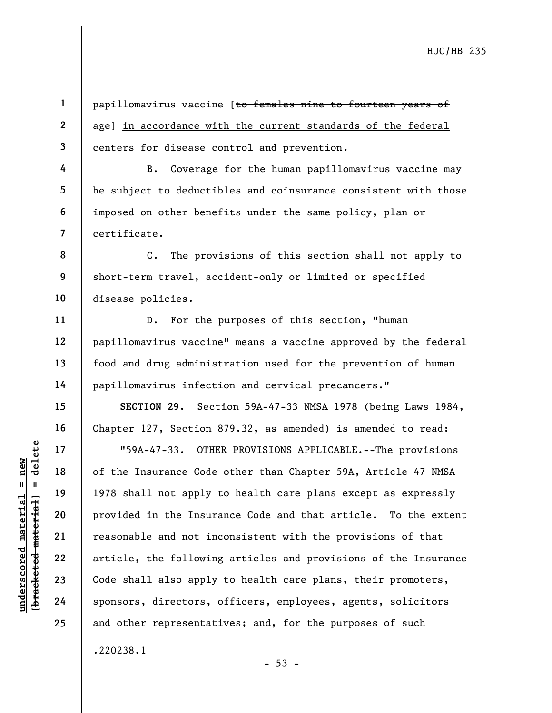1 2

3

4

5

6

7

11

12

13

14

15

16

17

18

19

20

21

22

23

24

25

.220238.1

papillomavirus vaccine [to females nine to fourteen years of age] in accordance with the current standards of the federal centers for disease control and prevention.

B. Coverage for the human papillomavirus vaccine may be subject to deductibles and coinsurance consistent with those imposed on other benefits under the same policy, plan or certificate.

8 9 10 C. The provisions of this section shall not apply to short-term travel, accident-only or limited or specified disease policies.

D. For the purposes of this section, "human papillomavirus vaccine" means a vaccine approved by the federal food and drug administration used for the prevention of human papillomavirus infection and cervical precancers."

SECTION 29. Section 59A-47-33 NMSA 1978 (being Laws 1984, Chapter 127, Section 879.32, as amended) is amended to read:

understand material material of the Insurance Code<br>
1978 shall not apply<br>
1978 shall not apply<br>
1978 shall not apply<br>
1978 shall not apply<br>
1978 shall not apply<br>
provided in the Insur<br>
22<br>
23<br>
24<br>
24<br>
29<br>
29<br>
29<br>
29<br>
29<br>
2 "59A-47-33. OTHER PROVISIONS APPLICABLE.--The provisions of the Insurance Code other than Chapter 59A, Article 47 NMSA 1978 shall not apply to health care plans except as expressly provided in the Insurance Code and that article. To the extent reasonable and not inconsistent with the provisions of that article, the following articles and provisions of the Insurance Code shall also apply to health care plans, their promoters, sponsors, directors, officers, employees, agents, solicitors and other representatives; and, for the purposes of such

 $- 53 -$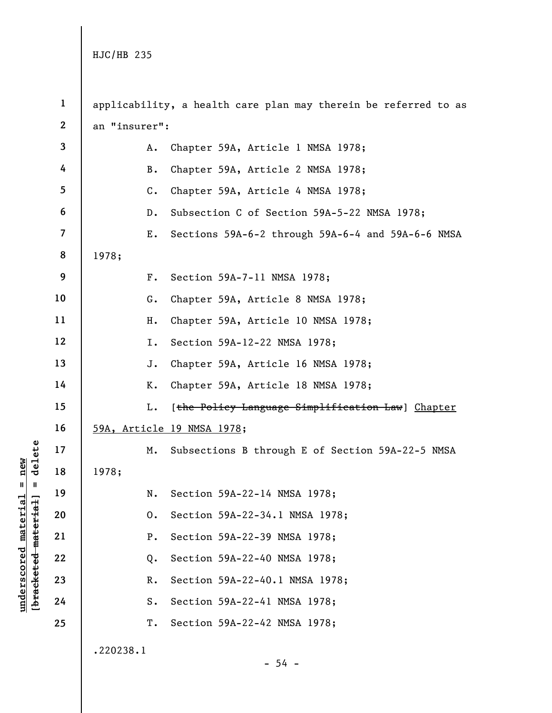underscored material = new [bracketed material] = delete 1 2 3 4 5 6 7 8 9 10 11 12 13 14 15 16 17 18 19 20 21 22 23 24 25 applicability, a health care plan may therein be referred to as an "insurer": A. Chapter 59A, Article 1 NMSA 1978; B. Chapter 59A, Article 2 NMSA 1978; C. Chapter 59A, Article 4 NMSA 1978; D. Subsection C of Section 59A-5-22 NMSA 1978; E. Sections 59A-6-2 through 59A-6-4 and 59A-6-6 NMSA 1978; F. Section 59A-7-11 NMSA 1978; G. Chapter 59A, Article 8 NMSA 1978; H. Chapter 59A, Article 10 NMSA 1978; I. Section 59A-12-22 NMSA 1978; J. Chapter 59A, Article 16 NMSA 1978; K. Chapter 59A, Article 18 NMSA 1978; L. [the Policy Language Simplification Law] Chapter 59A, Article 19 NMSA 1978; M. Subsections B through E of Section 59A-22-5 NMSA 1978; N. Section 59A-22-14 NMSA 1978; O. Section 59A-22-34.1 NMSA 1978; P. Section 59A-22-39 NMSA 1978; Q. Section 59A-22-40 NMSA 1978; R. Section 59A-22-40.1 NMSA 1978; S. Section 59A-22-41 NMSA 1978; T. Section 59A-22-42 NMSA 1978; .220238.1  $-54 -$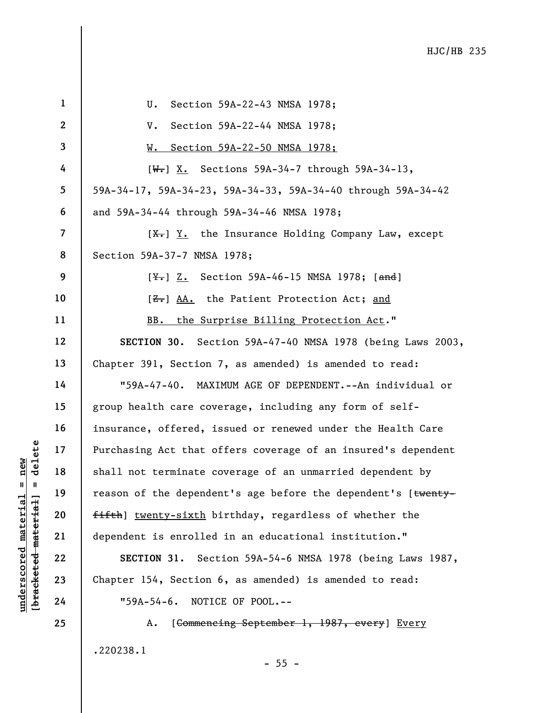|                                                | $\mathbf{1}$             | Section 59A-22-43 NMSA 1978;<br>U.                                         |
|------------------------------------------------|--------------------------|----------------------------------------------------------------------------|
|                                                | $\boldsymbol{2}$         | Section 59A-22-44 NMSA 1978;<br>V.                                         |
|                                                | 3                        | Section 59A-22-50 NMSA 1978;<br>w.                                         |
|                                                | 4                        | $[W-]$ X. Sections 59A-34-7 through 59A-34-13,                             |
|                                                | 5                        | 59A-34-17, 59A-34-23, 59A-34-33, 59A-34-40 through 59A-34-42               |
|                                                | 6                        | and 59A-34-44 through 59A-34-46 NMSA 1978;                                 |
|                                                | $\overline{\mathcal{L}}$ | $[\frac{X}{X}]$ $\underline{Y}.$ the Insurance Holding Company Law, except |
|                                                | 8                        | Section 59A-37-7 NMSA 1978;                                                |
|                                                | 9                        | [\frac{Y+}{1}} Z. Section 59A-46-15 NMSA 1978; [and ]                      |
|                                                | 10                       | [ <del>Z.</del> ] AA. the Patient Protection Act; and                      |
|                                                | 11                       | BB. the Surprise Billing Protection Act."                                  |
|                                                | 12                       | SECTION 30. Section 59A-47-40 NMSA 1978 (being Laws 2003,                  |
|                                                | 13                       | Chapter 391, Section 7, as amended) is amended to read:                    |
|                                                | 14                       | "59A-47-40. MAXIMUM AGE OF DEPENDENT.--An individual or                    |
|                                                | 15                       | group health care coverage, including any form of self-                    |
|                                                | 16                       | insurance, offered, issued or renewed under the Health Care                |
| delete                                         | 17                       | Purchasing Act that offers coverage of an insured's dependent              |
| new                                            | 18                       | shall not terminate coverage of an unmarried dependent by                  |
| $\mathbf{u}$<br>- 11                           | 19                       | reason of the dependent's age before the dependent's [twenty-              |
| materia <sup>-</sup>                           | 20                       | fifth] twenty-sixth birthday, regardless of whether the                    |
|                                                | 21                       | dependent is enrolled in an educational institution."                      |
|                                                | 22                       | SECTION 31. Section 59A-54-6 NMSA 1978 (being Laws 1987,                   |
| [ <del>bracketed material</del><br>underscored | 23                       | Chapter 154, Section 6, as amended) is amended to read:                    |
|                                                | 24                       | NOTICE OF POOL.--<br>$"59A-54-6.$                                          |
|                                                | 25                       | [Commencing September 1, 1987, every] Every<br>Α.                          |

.220238.1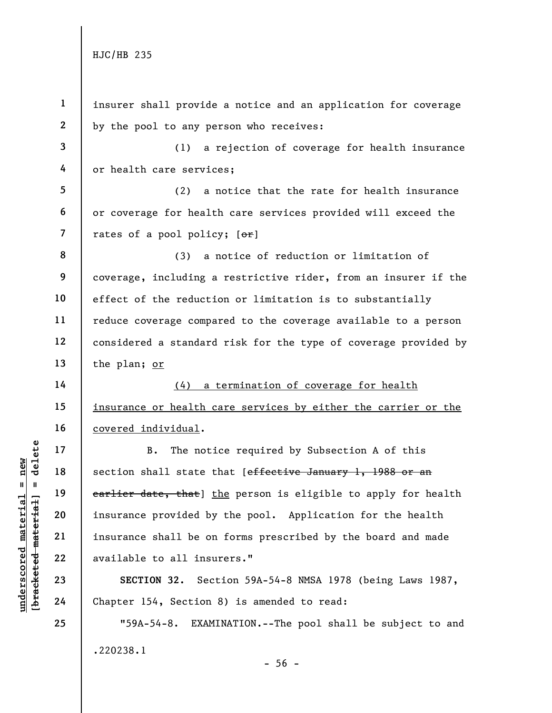5

6

7

14

15

16

17

18

19

20

21

22

23

24

25

1 2 insurer shall provide a notice and an application for coverage by the pool to any person who receives:

3 4 (1) a rejection of coverage for health insurance or health care services;

(2) a notice that the rate for health insurance or coverage for health care services provided will exceed the rates of a pool policy;  $[ $\theta$  r]$ 

8 9 10 11 12 13 (3) a notice of reduction or limitation of coverage, including a restrictive rider, from an insurer if the effect of the reduction or limitation is to substantially reduce coverage compared to the coverage available to a person considered a standard risk for the type of coverage provided by the plan; or

(4) a termination of coverage for health insurance or health care services by either the carrier or the covered individual.

underscored material = new [bracketed material] = delete B. The notice required by Subsection A of this section shall state that [effective January 1, 1988 or an earlier date, that] the person is eligible to apply for health insurance provided by the pool. Application for the health insurance shall be on forms prescribed by the board and made available to all insurers."

SECTION 32. Section 59A-54-8 NMSA 1978 (being Laws 1987, Chapter 154, Section 8) is amended to read:

"59A-54-8. EXAMINATION.--The pool shall be subject to and .220238.1  $-56 -$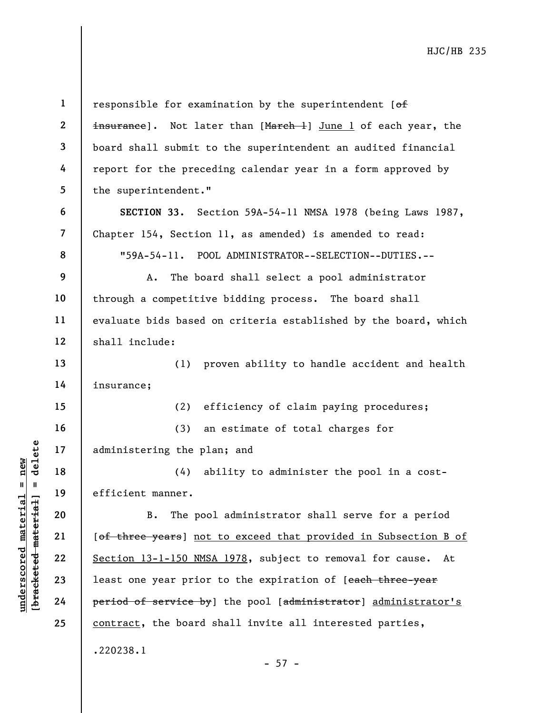understand material material efficient manner.<br>
Wallen 19<br>
understand manner.<br>
20<br>
understand 19<br>
22<br>
23<br>
23<br>
24<br>
Period of service by 1<br>
24<br>
Period of service by 1 1 2 3 4 5 6 7 8 9 10 11 12 13 14 15 16 17 18 19 20 21 responsible for examination by the superintendent  $[ $\theta$  f]$ insurance]. Not later than [March +] June 1 of each year, the board shall submit to the superintendent an audited financial report for the preceding calendar year in a form approved by the superintendent." SECTION 33. Section 59A-54-11 NMSA 1978 (being Laws 1987, Chapter 154, Section 11, as amended) is amended to read: "59A-54-11. POOL ADMINISTRATOR--SELECTION--DUTIES.-- A. The board shall select a pool administrator through a competitive bidding process. The board shall evaluate bids based on criteria established by the board, which shall include: (1) proven ability to handle accident and health insurance; (2) efficiency of claim paying procedures; (3) an estimate of total charges for administering the plan; and (4) ability to administer the pool in a costefficient manner. B. The pool administrator shall serve for a period [of three years] not to exceed that provided in Subsection B of

Section 13-1-150 NMSA 1978, subject to removal for cause. At least one year prior to the expiration of [each three-year period of service by] the pool [administrator] administrator's contract, the board shall invite all interested parties, .220238.1

 $-57 -$ 

22

23

24

25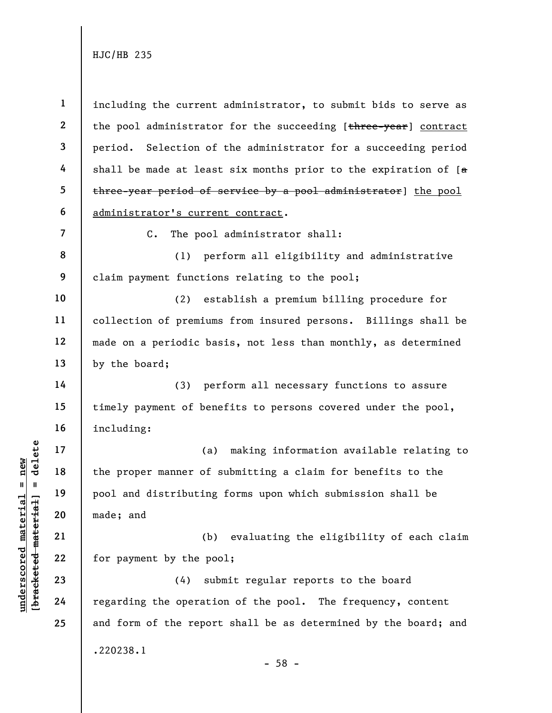1 2 3 4 5 6 including the current administrator, to submit bids to serve as the pool administrator for the succeeding [three-year] contract period. Selection of the administrator for a succeeding period shall be made at least six months prior to the expiration of  $[a]$ three-year period of service by a pool administrator] the pool administrator's current contract.

7

14

15

16

17

18

19

20

21

22

23

24

25

C. The pool administrator shall:

8 9 (1) perform all eligibility and administrative claim payment functions relating to the pool;

10 11 12 13 (2) establish a premium billing procedure for collection of premiums from insured persons. Billings shall be made on a periodic basis, not less than monthly, as determined by the board;

(3) perform all necessary functions to assure timely payment of benefits to persons covered under the pool, including:

underscored material material material and<br>
except material in the proper manner of<br>
pool and distributing<br>
made; and<br>
21<br>
22<br>
23<br>
24 regarding the operation<br>
24 regarding the operation (a) making information available relating to the proper manner of submitting a claim for benefits to the pool and distributing forms upon which submission shall be made; and

(b) evaluating the eligibility of each claim for payment by the pool;

(4) submit regular reports to the board regarding the operation of the pool. The frequency, content and form of the report shall be as determined by the board; and .220238.1 - 58 -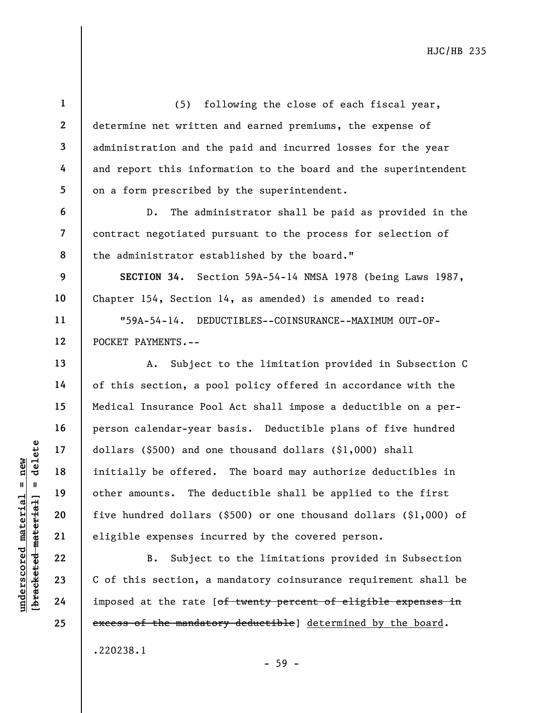underscored material material material expenses incomplements. The definition of the material other amounts. The definition of the material eligible expenses incomplements of this section, a imposed at the rate [ 1 2 3 4 5 6 7 8 9 10 11 12 13 14 15 16 17 18 19 20 21 22 23 24 25 (5) following the close of each fiscal year, determine net written and earned premiums, the expense of administration and the paid and incurred losses for the year and report this information to the board and the superintendent on a form prescribed by the superintendent. D. The administrator shall be paid as provided in the contract negotiated pursuant to the process for selection of the administrator established by the board." SECTION 34. Section 59A-54-14 NMSA 1978 (being Laws 1987, Chapter 154, Section 14, as amended) is amended to read: "59A-54-14. DEDUCTIBLES--COINSURANCE--MAXIMUM OUT-OF-POCKET PAYMENTS.-- A. Subject to the limitation provided in Subsection C of this section, a pool policy offered in accordance with the Medical Insurance Pool Act shall impose a deductible on a perperson calendar-year basis. Deductible plans of five hundred dollars (\$500) and one thousand dollars (\$1,000) shall initially be offered. The board may authorize deductibles in other amounts. The deductible shall be applied to the first five hundred dollars (\$500) or one thousand dollars (\$1,000) of eligible expenses incurred by the covered person. B. Subject to the limitations provided in Subsection C of this section, a mandatory coinsurance requirement shall be imposed at the rate [of twenty percent of eligible expenses in excess of the mandatory deductible] determined by the board.

.220238.1

- 59 -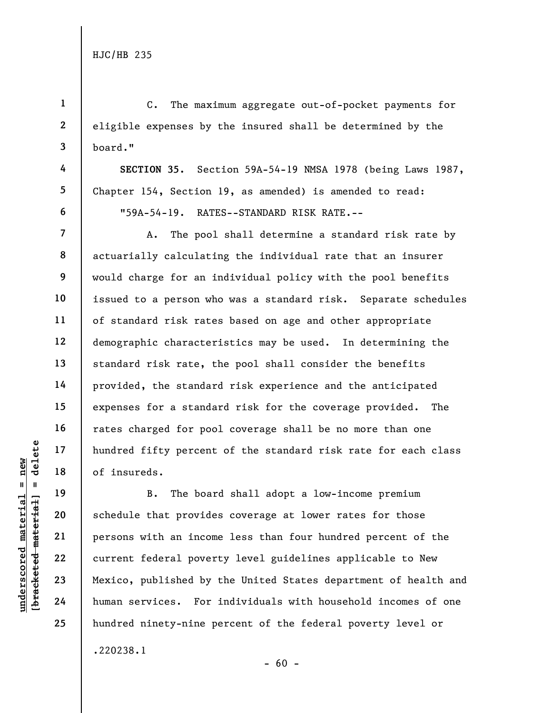1

2

3

4

5

6

7

8

9

10

11

12

13

14

15

16

17

18

19

20

21

22

23

24

25

C. The maximum aggregate out-of-pocket payments for eligible expenses by the insured shall be determined by the board."

SECTION 35. Section 59A-54-19 NMSA 1978 (being Laws 1987, Chapter 154, Section 19, as amended) is amended to read: "59A-54-19. RATES--STANDARD RISK RATE.--

A. The pool shall determine a standard risk rate by actuarially calculating the individual rate that an insurer would charge for an individual policy with the pool benefits issued to a person who was a standard risk. Separate schedules of standard risk rates based on age and other appropriate demographic characteristics may be used. In determining the standard risk rate, the pool shall consider the benefits provided, the standard risk experience and the anticipated expenses for a standard risk for the coverage provided. The rates charged for pool coverage shall be no more than one hundred fifty percent of the standard risk rate for each class of insureds.

undered material material percent<br>  $\begin{array}{c|c|c|c} \n\text{u} & \text{u} & \text{u} & \text{u} & \text{u} & \text{u} & \text{u} & \text{u} & \text{u} & \text{u} & \text{u} & \text{u} & \text{u} & \text{u} & \text{u} & \text{u} & \text{u} & \text{u} & \text{u} & \text{u} & \text{u} & \text{u} & \text{u} & \text{u} & \text{u} & \text{u} & \text{u} & \text{u} & \text{$ B. The board shall adopt a low-income premium schedule that provides coverage at lower rates for those persons with an income less than four hundred percent of the current federal poverty level guidelines applicable to New Mexico, published by the United States department of health and human services. For individuals with household incomes of one hundred ninety-nine percent of the federal poverty level or .220238.1

 $- 60 -$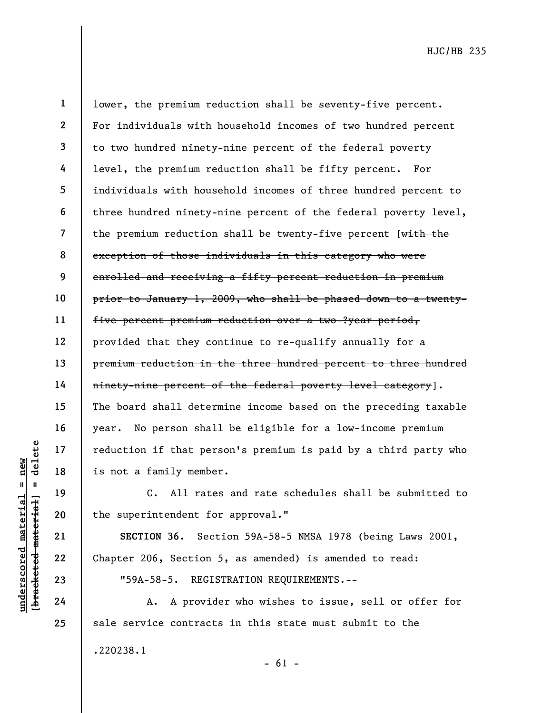19

20

21

22

23

24

25

understand material material entire that per all that per is not a family member of that per all the superintendent for section 22 chapter 206, Section 24 chapter 206, All raterial chapter 206, Section 24 chapter 206, Sect 1 2 3 4 5 6 7 8 9 10 11 12 13 14 15 16 17 18 lower, the premium reduction shall be seventy-five percent. For individuals with household incomes of two hundred percent to two hundred ninety-nine percent of the federal poverty level, the premium reduction shall be fifty percent. For individuals with household incomes of three hundred percent to three hundred ninety-nine percent of the federal poverty level, the premium reduction shall be twenty-five percent [with the exception of those individuals in this category who were enrolled and receiving a fifty percent reduction in premium prior to January 1, 2009, who shall be phased down to a twentyfive percent premium reduction over a two-?year period, provided that they continue to re-qualify annually for a premium reduction in the three hundred percent to three hundred ninety-nine percent of the federal poverty level category]. The board shall determine income based on the preceding taxable year. No person shall be eligible for a low-income premium reduction if that person's premium is paid by a third party who is not a family member.

C. All rates and rate schedules shall be submitted to the superintendent for approval."

SECTION 36. Section 59A-58-5 NMSA 1978 (being Laws 2001, Chapter 206, Section 5, as amended) is amended to read:

"59A-58-5. REGISTRATION REQUIREMENTS.--

A. A provider who wishes to issue, sell or offer for sale service contracts in this state must submit to the .220238.1

 $- 61 -$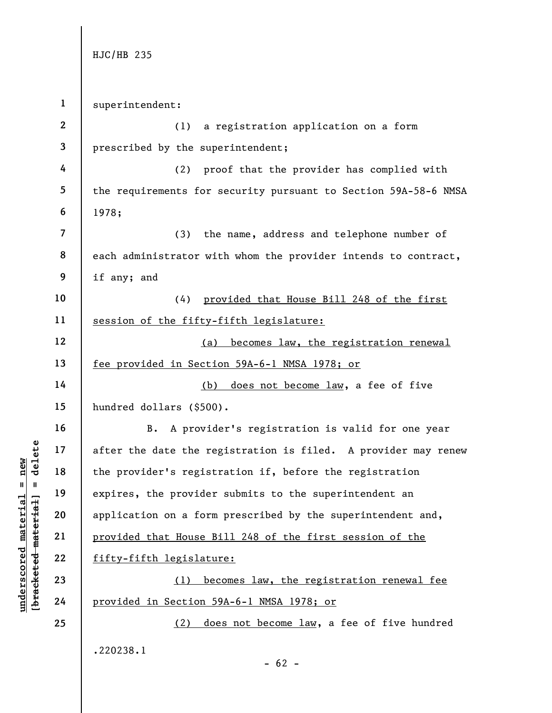1 superintendent:

underscored material = new [bracketed material] = delete 2 3 4 5 6 7 8 9 10 11 12 13 14 15 16 17 18 19 20 21 22 23 24 25 (1) a registration application on a form prescribed by the superintendent; (2) proof that the provider has complied with the requirements for security pursuant to Section 59A-58-6 NMSA 1978; (3) the name, address and telephone number of each administrator with whom the provider intends to contract, if any; and (4) provided that House Bill 248 of the first session of the fifty-fifth legislature: (a) becomes law, the registration renewal fee provided in Section 59A-6-1 NMSA 1978; or (b) does not become law, a fee of five hundred dollars (\$500). B. A provider's registration is valid for one year after the date the registration is filed. A provider may renew the provider's registration if, before the registration expires, the provider submits to the superintendent an application on a form prescribed by the superintendent and, provided that House Bill 248 of the first session of the fifty-fifth legislature: (1) becomes law, the registration renewal fee provided in Section 59A-6-1 NMSA 1978; or (2) does not become law, a fee of five hundred .220238.1

 $- 62 -$